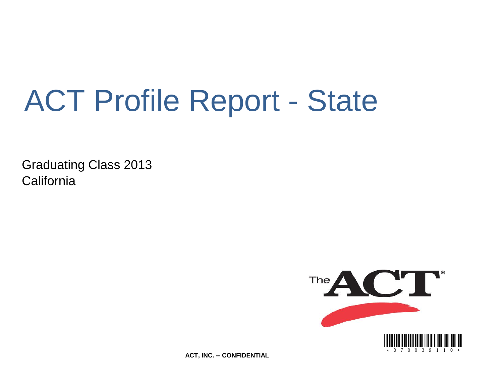# ACT Profile Report - State

Graduating Class 2013 **California** 



**ACT, INC. -- CONFIDENTIAL**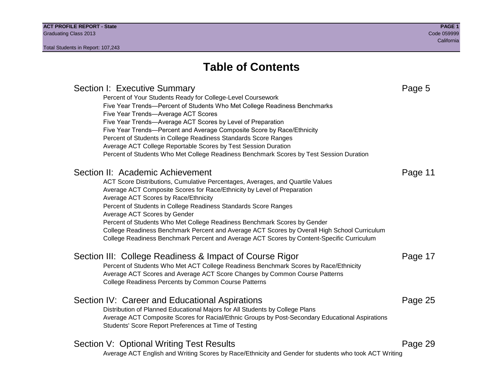Section I: Executive Summary **Page 5** and the section I: Executive Summary Percent of Your Students Ready for College-Level Coursework Five Year Trends—Percent of Students Who Met College Readiness Benchmarks Five Year Trends—Average ACT Scores Five Year Trends—Average ACT Scores by Level of Preparation Five Year Trends—Percent and Average Composite Score by Race/Ethnicity Percent of Students in College Readiness Standards Score Ranges Average ACT College Reportable Scores by Test Session Duration Percent of Students Who Met College Readiness Benchmark Scores by Test Session Duration Section II: Academic Achievement **Page 11** Page 11 ACT Score Distributions, Cumulative Percentages, Averages, and Quartile Values Average ACT Composite Scores for Race/Ethnicity by Level of Preparation Average ACT Scores by Race/Ethnicity Percent of Students in College Readiness Standards Score Ranges Average ACT Scores by Gender Percent of Students Who Met College Readiness Benchmark Scores by Gender College Readiness Benchmark Percent and Average ACT Scores by Overall High School Curriculum College Readiness Benchmark Percent and Average ACT Scores by Content-Specific Curriculum Section III: College Readiness & Impact of Course Rigor Page 17 Percent of Students Who Met ACT College Readiness Benchmark Scores by Race/Ethnicity Average ACT Scores and Average ACT Score Changes by Common Course Patterns College Readiness Percents by Common Course Patterns Section IV: Career and Educational Aspirations **Page 25** Page 25 Distribution of Planned Educational Majors for All Students by College Plans Average ACT Composite Scores for Racial/Ethnic Groups by Post-Secondary Educational Aspirations Students' Score Report Preferences at Time of Testing Section V: Optional Writing Test Results **Page 29** Page 29 Average ACT English and Writing Scores by Race/Ethnicity and Gender for students who took ACT Writing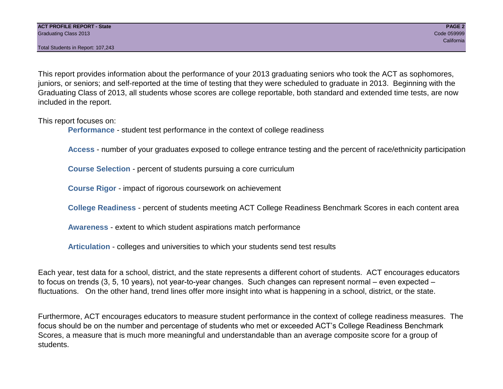Total Students in Report: 107,243

This report provides information about the performance of your 2013 graduating seniors who took the ACT as sophomores, juniors, or seniors; and self-reported at the time of testing that they were scheduled to graduate in 2013. Beginning with the Graduating Class of 2013, all students whose scores are college reportable, both standard and extended time tests, are now included in the report.

This report focuses on:

**Performance** - student test performance in the context of college readiness

**Access** - number of your graduates exposed to college entrance testing and the percent of race/ethnicity participation

**Course Selection** - percent of students pursuing a core curriculum

**Course Rigor** - impact of rigorous coursework on achievement

**College Readiness** - percent of students meeting ACT College Readiness Benchmark Scores in each content area

**Awareness** - extent to which student aspirations match performance

**Articulation** - colleges and universities to which your students send test results

Each year, test data for a school, district, and the state represents a different cohort of students. ACT encourages educators to focus on trends (3, 5, 10 years), not year-to-year changes. Such changes can represent normal – even expected – fluctuations. On the other hand, trend lines offer more insight into what is happening in a school, district, or the state.

Furthermore, ACT encourages educators to measure student performance in the context of college readiness measures. The focus should be on the number and percentage of students who met or exceeded ACT's College Readiness Benchmark Scores, a measure that is much more meaningful and understandable than an average composite score for a group of students.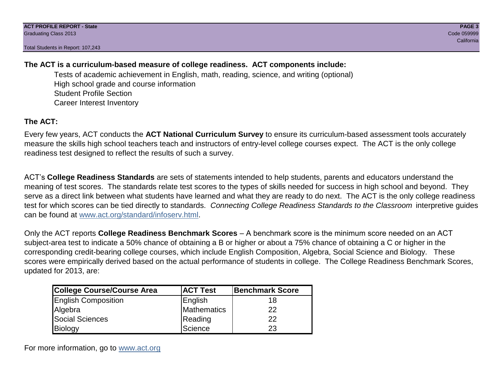Total Students in Report: 107,243

# **The ACT is a curriculum-based measure of college readiness. ACT components include:**

Tests of academic achievement in English, math, reading, science, and writing (optional) High school grade and course information Student Profile Section Career Interest Inventory

# **The ACT:**

Every few years, ACT conducts the **ACT National Curriculum Survey** to ensure its curriculum-based assessment tools accurately measure the skills high school teachers teach and instructors of entry-level college courses expect. The ACT is the only college readiness test designed to reflect the results of such a survey.

ACT's **College Readiness Standards** are sets of statements intended to help students, parents and educators understand the meaning of test scores. The standards relate test scores to the types of skills needed for success in high school and beyond. They serve as a direct link between what students have learned and what they are ready to do next. The ACT is the only college readiness test for which scores can be tied directly to standards. *Connecting College Readiness Standards to the Classroom* interpretive guides can be found at www.act.org/standard/infoserv.html.

Only the ACT reports **College Readiness Benchmark Scores** – A benchmark score is the minimum score needed on an ACT subject-area test to indicate a 50% chance of obtaining a B or higher or about a 75% chance of obtaining a C or higher in the corresponding credit-bearing college courses, which include English Composition, Algebra, Social Science and Biology. These scores were empirically derived based on the actual performance of students in college. The College Readiness Benchmark Scores, updated for 2013, are:

| <b>College Course/Course Area</b> | <b>ACT Test</b> | Benchmark Score |
|-----------------------------------|-----------------|-----------------|
| <b>English Composition</b>        | English         | 18              |
| Algebra                           | Mathematics     | 22              |
| <b>Social Sciences</b>            | Reading         | 22              |
| Biology                           | Science         | 23              |

For more information, go to www.act.org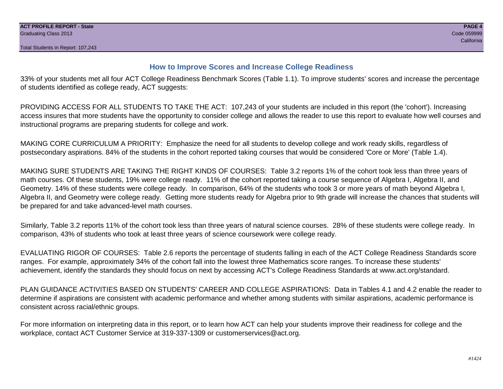# **How to Improve Scores and Increase College Readiness**

33% of your students met all four ACT College Readiness Benchmark Scores (Table 1.1). To improve students' scores and increase the percentage of students identified as college ready, ACT suggests:

PROVIDING ACCESS FOR ALL STUDENTS TO TAKE THE ACT: 107,243 of your students are included in this report (the 'cohort'). Increasing access insures that more students have the opportunity to consider college and allows the reader to use this report to evaluate how well courses and instructional programs are preparing students for college and work.

MAKING CORE CURRICULUM A PRIORITY: Emphasize the need for all students to develop college and work ready skills, regardless of postsecondary aspirations. 84% of the students in the cohort reported taking courses that would be considered 'Core or More' (Table 1.4).

MAKING SURE STUDENTS ARE TAKING THE RIGHT KINDS OF COURSES: Table 3.2 reports 1% of the cohort took less than three years of math courses. Of these students, 19% were college ready. 11% of the cohort reported taking a course sequence of Algebra I, Algebra II, and Geometry. 14% of these students were college ready. In comparison, 64% of the students who took 3 or more years of math beyond Algebra I, Algebra II, and Geometry were college ready. Getting more students ready for Algebra prior to 9th grade will increase the chances that students will be prepared for and take advanced-level math courses.

Similarly, Table 3.2 reports 11% of the cohort took less than three years of natural science courses. 28% of these students were college ready. In comparison, 43% of students who took at least three years of science coursework were college ready.

EVALUATING RIGOR OF COURSES: Table 2.6 reports the percentage of students falling in each of the ACT College Readiness Standards score ranges. For example, approximately 34% of the cohort fall into the lowest three Mathematics score ranges. To increase these students' achievement, identify the standards they should focus on next by accessing ACT's College Readiness Standards at www.act.org/standard.

PLAN GUIDANCE ACTIVITIES BASED ON STUDENTS' CAREER AND COLLEGE ASPIRATIONS: Data in Tables 4.1 and 4.2 enable the reader to determine if aspirations are consistent with academic performance and whether among students with similar aspirations, academic performance is consistent across racial/ethnic groups.

For more information on interpreting data in this report, or to learn how ACT can help your students improve their readiness for college and the workplace, contact ACT Customer Service at 319-337-1309 or customerservices@act.org.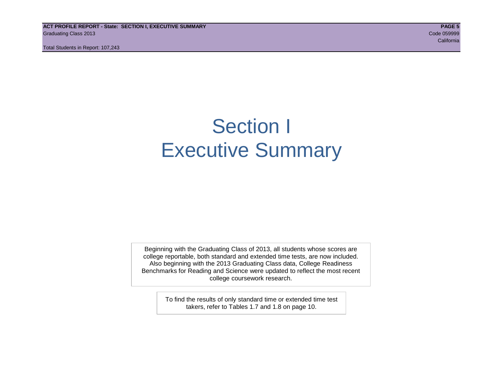**ACT PROFILE REPORT - State: SECTION I, EXECUTIVE SUMMARY PAGE 5** Graduating Class 2013 Code 059999

Total Students in Report: 107,243

# Section I Executive Summary

Beginning with the Graduating Class of 2013, all students whose scores are college reportable, both standard and extended time tests, are now included. Also beginning with the 2013 Graduating Class data, College Readiness Benchmarks for Reading and Science were updated to reflect the most recent college coursework research.

> To find the results of only standard time or extended time test takers, refer to Tables 1.7 and 1.8 on page 10.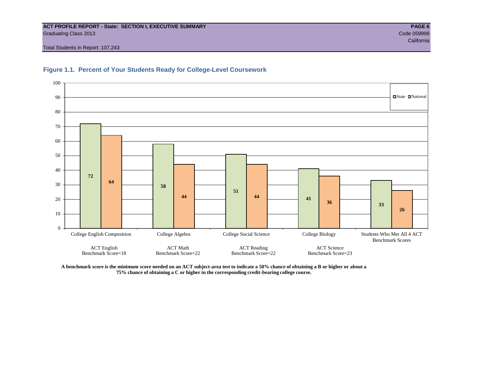#### **ACT PROFILE REPORT - State: SECTION I, EXECUTIVE SUMMARY PAGE 6** Graduating Class 2013 Code 059999

Total Students in Report: 107,243





**A benchmark score is the minimum score needed on an ACT subject-area test to indicate a 50% chance of obtaining a B or higher or about a 75% chance of obtaining a C or higher in the corresponding credit-bearing college course.**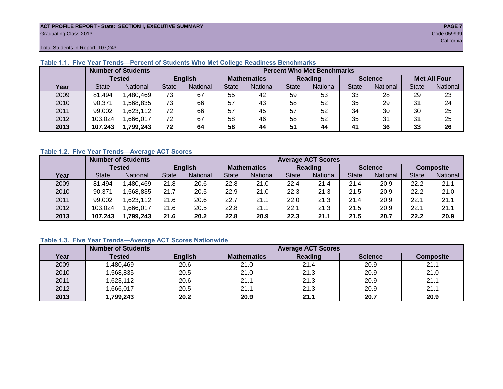#### **ACT PROFILE REPORT - State: SECTION I, EXECUTIVE SUMMARY PAGE 7** Graduating Class 2013 Code 059999

Total Students in Report: 107,243

|      |              | <b>Number of Students</b> |              | <b>Percent Who Met Benchmarks</b> |                    |          |              |          |                |          |                     |          |  |  |  |  |
|------|--------------|---------------------------|--------------|-----------------------------------|--------------------|----------|--------------|----------|----------------|----------|---------------------|----------|--|--|--|--|
|      |              | <b>Tested</b>             |              | <b>English</b>                    | <b>Mathematics</b> |          | Reading      |          | <b>Science</b> |          | <b>Met All Four</b> |          |  |  |  |  |
| Year | <b>State</b> | <b>National</b>           | <b>State</b> | National                          | State              | National | <b>State</b> | National | <b>State</b>   | National | <b>State</b>        | National |  |  |  |  |
| 2009 | 81,494       | .480,469                  | 73           | 67                                | 55                 | 42       | 59           | 53       | 33             | 28       | 29                  | 23       |  |  |  |  |
| 2010 | 90,371       | .568.835                  | 73           | 66                                | 57                 | 43       | 58           | 52       | 35             | 29       | 31                  | 24       |  |  |  |  |
| 2011 | 99,002       | .623,112                  | 72           | 66                                | 57                 | 45       | 57           | 52       | 34             | 30       | 30                  | 25       |  |  |  |  |
| 2012 | 103,024      | .666,017                  | 72           | 67                                | 58                 | 46       | 58           | 52       | 35             | 31       | 31                  | 25       |  |  |  |  |
| 2013 | 107.243      | 1,799,243                 | 72           | 64                                | 58                 | 44       | 51           | 44       | 41             | 36       | 33                  | 26       |  |  |  |  |

# **Table 1.1. Five Year Trends—Percent of Students Who Met College Readiness Benchmarks**

### **Table 1.2. Five Year Trends—Average ACT Scores**

|      |              | <b>Number of Students</b> |              |                 |                    | <b>Average ACT Scores</b> |                |          |                |          |                  |          |  |  |  |
|------|--------------|---------------------------|--------------|-----------------|--------------------|---------------------------|----------------|----------|----------------|----------|------------------|----------|--|--|--|
|      |              | Tested                    |              | <b>English</b>  | <b>Mathematics</b> |                           | <b>Reading</b> |          | <b>Science</b> |          | <b>Composite</b> |          |  |  |  |
| Year | <b>State</b> | <b>National</b>           | <b>State</b> | <b>National</b> |                    | National                  | <b>State</b>   | National | <b>State</b>   | National | <b>State</b>     | National |  |  |  |
| 2009 | 81.494       | .480.469                  | 21.8         | 20.6            | 22.8               | 21.0                      | 22.4           | 21.4     | 21.4           | 20.9     | 22.2             | 21.1     |  |  |  |
| 2010 | 90,371       | .568.835                  | 21.7         | 20.5            | 22.9               | 21.0                      | 22.3           | 21.3     | 21.5           | 20.9     | 22.2             | 21.0     |  |  |  |
| 2011 | 99,002       | .623,112                  | 21.6         | 20.6            | 22.7               | 21.1                      | 22.0           | 21.3     | 21.4           | 20.9     | 22.1             | 21.1     |  |  |  |
| 2012 | 103,024      | .666,017                  | 21.6         | 20.5            | 22.8               | 21.1                      | 22.7           | 21.3     | 21.5           | 20.9     | 22.1             | 21.1     |  |  |  |
| 2013 | 107,243      | 1,799,243                 | 21.6         | 20.2            | 22.8               | 20.9                      | 22.3           | 21.1     | 21.5           | 20.7     | 22.2             | 20.9     |  |  |  |

# **Table 1.3. Five Year Trends—Average ACT Scores Nationwide**

|      | <b>Number of Students</b> |                | <b>Average ACT Scores</b> |         |                |                  |  |  |  |  |  |  |  |
|------|---------------------------|----------------|---------------------------|---------|----------------|------------------|--|--|--|--|--|--|--|
| Year | Tested                    | <b>English</b> | <b>Mathematics</b>        | Reading | <b>Science</b> | <b>Composite</b> |  |  |  |  |  |  |  |
| 2009 | ,480,469                  | 20.6           | 21.0                      | 21.4    | 20.9           | 21.1             |  |  |  |  |  |  |  |
| 2010 | ,568,835                  | 20.5           | 21.0                      | 21.3    | 20.9           | 21.0             |  |  |  |  |  |  |  |
| 2011 | ,623,112                  | 20.6           | 21.1                      | 21.3    | 20.9           | 21.1             |  |  |  |  |  |  |  |
| 2012 | ,666,017                  | 20.5           | 21.1                      | 21.3    | 20.9           | 21.1             |  |  |  |  |  |  |  |
| 2013 | ,799,243                  | 20.2           | 20.9                      | 21.1    | 20.7           | 20.9             |  |  |  |  |  |  |  |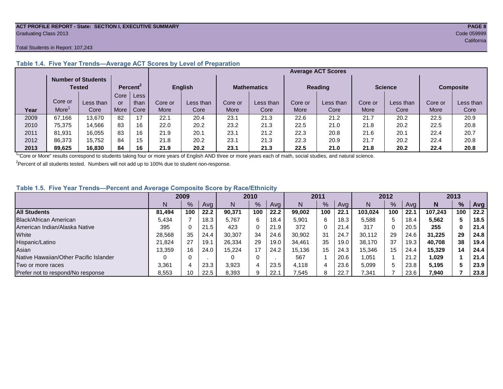#### **ACT PROFILE REPORT - State: SECTION I, EXECUTIVE SUMMARY PAGE 8** Graduating Class 2013 Code 059999

#### Total Students in Report: 107,243

|      |         | <b>Number of Students</b><br><b>Tested</b> |      | Percent <sup>2</sup> |         | <b>English</b> |         | <b>Mathematics</b> |         | <b>Reading</b> |         | <b>Science</b> |         | <b>Composite</b> |
|------|---------|--------------------------------------------|------|----------------------|---------|----------------|---------|--------------------|---------|----------------|---------|----------------|---------|------------------|
|      |         |                                            | Core | Less                 |         |                |         |                    |         |                |         |                |         |                  |
|      | Core or | Less than                                  | or   | than                 | Core or | Less than      | Core or | Less than          | Core or | Less than      | Core or | Less than      | Core or | Less than        |
| Year | More    | Core                                       | More | Core                 | More    | Core           | More    | Core               | More    | Core           | More    | Core           | More    | Core             |
| 2009 | 67.166  | 13.670                                     | 82   | 17                   | 22.1    | 20.4           | 23.1    | 21.3               | 22.6    | 21.2           | 21.7    | 20.2           | 22.5    | 20.9             |
| 2010 | 75.375  | 14,566                                     | 83   | 16                   | 22.0    | 20.2           | 23.2    | 21.3               | 22.5    | 21.0           | 21.8    | 20.2           | 22.5    | 20.8             |
| 2011 | 81.931  | 16,055                                     | 83   | 16                   | 21.9    | 20.1           | 23.1    | 21.2               | 22.3    | 20.8           | 21.6    | 20.1           | 22.4    | 20.7             |
| 2012 | 86,373  | 15.752                                     | 84   | 15                   | 21.8    | 20.2           | 23.1    | 21.3               | 22.3    | 20.9           | 21.7    | 20.2           | 22.4    | 20.8             |
| 2013 | 89.625  | 16,830                                     | 84   | 16                   | 21.9    | 20.2           | 23.1    | 21.3               | 22.5    | 21.0           | 21.8    | 20.2           | 22.4    | 20.8             |

# **Table 1.4. Five Year Trends—Average ACT Scores by Level of Preparation**

<sup>1</sup>"Core or More" results correspond to students taking four or more years of English AND three or more years each of math, social studies, and natural science.

 $2$ Percent of all students tested. Numbers will not add up to 100% due to student non-response.

### **Table 1.5. Five Year Trends—Percent and Average Composite Score by Race/Ethnicity**

|                                        | 2009   |      |      |        | 2010 |      |        | 2011 |      |         | 2012 |      |         | 2013 |      |  |
|----------------------------------------|--------|------|------|--------|------|------|--------|------|------|---------|------|------|---------|------|------|--|
|                                        | N      | $\%$ | Avg  | N      | $\%$ | Avg  | N      | $\%$ | Avg  | N       | %    | Ava  | N       | %    | Avg  |  |
| <b>All Students</b>                    | 81.494 | 100  | 22.2 | 90.371 | 100  | 22.2 | 99.002 | 100  | 22.1 | 103.024 | 100  | 22.1 | 107.243 | 100  | 22.2 |  |
| Black/African American                 | 5.434  |      | 18.3 | 5.767  | 6    | 18.4 | 5,901  | 6    | 18.3 | 5,588   | 5    | 18.4 | 5,562   |      | 18.5 |  |
| American Indian/Alaska Native          | 395    |      | 21.5 | 423    | 0    | 21.9 | 372    | 0    | 21.4 | 317     |      | 20.5 | 255     | 0    | 21.4 |  |
| White                                  | 28.568 | 35   | 24.4 | 30.307 | 34   | 24.6 | 30,902 | 31   | 24.7 | 30.112  | 29   | 24.6 | 31.225  | 29   | 24.8 |  |
| Hispanic/Latino                        | 21.824 | 27   | 19.1 | 26,334 | 29   | 19.0 | 34.461 | 35   | 19.0 | 38.170  | 37   | 19.3 | 40.708  | 38   | 19.4 |  |
| Asian                                  | 13,359 | 16   | 24.0 | 15.224 | 17   | 24.2 | 15,136 | 15   | 24.3 | 15,346  | 15   | 24.4 | 15.329  | 14   | 24.4 |  |
| Native Hawaiian/Other Pacific Islander |        |      |      | 0      | 0    |      | 567    |      | 20.6 | 1,051   |      | 21.2 | 1,029   |      | 21.4 |  |
| Two or more races                      | 3,361  |      | 23.3 | 3,923  | 4    | 23.5 | 4.118  | 4    | 23.6 | 5,099   | 5    | 23.8 | 5.195   |      | 23.9 |  |
| Prefer not to respond/No response      | 8,553  | 10   | 22.5 | 8,393  | 9    | 22.1 | 7,545  | 8    | 22.7 | 7,341   |      | 23.6 | 7,940   |      | 23.8 |  |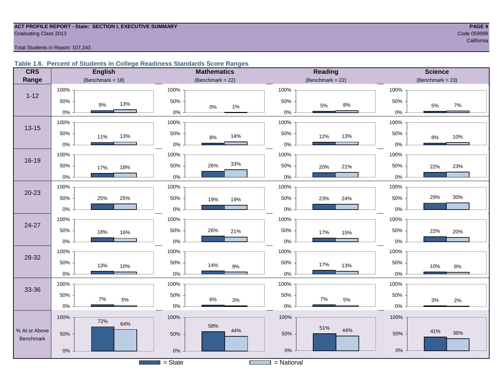#### **ACT PROFILE REPORT - State: SECTION I, EXECUTIVE SUMMARY PAGE 9 Graduating Class 2013** Code 059999 Code 059999

resultation of the contract of the contract of the contract of the contract of the contract of the contract of

Total Students in Report: 107,243

### **Table 1.6. Percent of Students in College Readiness Standards Score Ranges**

| <b>CRS</b>    | <b>English</b>      | <b>Mathematics</b>   | <b>Reading</b>                         | <b>Science</b>      |
|---------------|---------------------|----------------------|----------------------------------------|---------------------|
| Range         | (Benchmark = $18$ ) | (Benchmark = $22$ )  | $(Benchmark = 22)$                     | $(Benchmark = 23)$  |
|               | 100%                | 100%                 | 100%                                   | 100%                |
| $1 - 12$      | 50%<br>13%<br>$9\%$ | 50%                  | 50%                                    | 50%                 |
|               | $0\%$               | $0\%$<br>1%<br>$0\%$ | $8\%$<br>$5\%$<br>$0\%$                | 7%<br>5%<br>$0\%$   |
|               | 100%                | 100%                 | 100%                                   | 100%                |
| $13 - 15$     | 50%<br>13%<br>11%   | 50%<br>14%<br>$8%$   | 50%<br>13%<br>12%                      | 50%<br>10%<br>8%    |
|               | $0\%$               | $0\%$                | $0\%$                                  | 0%                  |
|               | 100%                | 100%                 | 100%                                   | 100%                |
| $16 - 19$     | 50%<br>18%<br>17%   | 33%<br>26%<br>50%    | 50%<br>21%<br>20%                      | 50%<br>23%<br>22%   |
|               | $0\%$               | $0\%$                | $0\%$                                  | 0%                  |
|               | 100%                | 100%                 | 100%                                   | 100%                |
| $20 - 23$     | 50%<br>25%<br>25%   | 50%<br>19%<br>19%    | 50%<br>24%<br>23%                      | 29%<br>30%<br>50%   |
|               | $0\%$               | $0\%$                | $0\%$                                  | 0%                  |
|               | 100%                | 100%                 | 100%                                   | 100%                |
| $24 - 27$     | 50%<br>18%<br>16%   | 50%<br>26%<br>21%    | 50%<br>17%<br>15%                      | 50%<br>22%<br>20%   |
|               | $0\%$               | 0%                   | $0\%$                                  | 0%                  |
|               | 100%                | 100%                 | 100%                                   | 100%                |
| 28-32         | 50%<br>13%<br>10%   | 50%<br>14%<br>$9\%$  | 50%<br>17%<br>13%                      | 50%<br>10%<br>$8\%$ |
|               | $0\%$               | $0\%$                | $0\%$                                  | 0%                  |
|               | 100%                | 100%                 | 100%                                   | 100%                |
| 33-36         | 50%<br>$7\%$        | 50%<br>$6\%$         | 50%<br>7%                              | 50%                 |
|               | $5\%$<br>$0\%$      | $3%$<br>$0\%$        | $5\%$<br>$0\%$                         | 3%<br>$2\%$<br>0%   |
|               | 100%                | 100%                 | 100%                                   | 100%                |
| % At or Above | 72%<br>64%          | 58%<br>44%           | 51%<br>44%                             | 41%                 |
| Benchmark     | 50%                 | 50%                  | 50%                                    | 36%<br>50%          |
|               | $0\%$               | $0\%$                | $0\%$                                  | $0\%$               |
|               |                     | $=$ State            | = National<br><b>Contract Contract</b> |                     |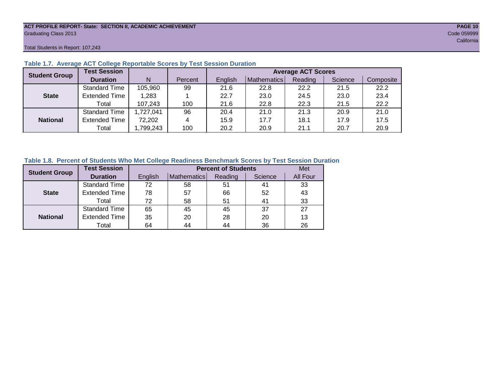#### **ACT PROFILE REPORT- State: SECTION II, ACADEMIC ACHIEVEMENT PAGE 10** Graduating Class 2013 Code 059999

Total Students in Report: 107,243

| <b>Student Group</b> | <b>Test Session</b>  |          |         | <b>Average ACT Scores</b> |             |         |         |           |  |  |  |  |  |
|----------------------|----------------------|----------|---------|---------------------------|-------------|---------|---------|-----------|--|--|--|--|--|
|                      | <b>Duration</b>      | N        | Percent | English                   | Mathematics | Reading | Science | Composite |  |  |  |  |  |
|                      | <b>Standard Time</b> | 105,960  | 99      | 21.6                      | 22.8        | 22.2    | 21.5    | 22.2      |  |  |  |  |  |
| <b>State</b>         | <b>Extended Time</b> | 1,283    |         | 22.7                      | 23.0        | 24.5    | 23.0    | 23.4      |  |  |  |  |  |
|                      | Total                | 107,243  | 100     | 21.6                      | 22.8        | 22.3    | 21.5    | 22.2      |  |  |  |  |  |
|                      | <b>Standard Time</b> | ,727,041 | 96      | 20.4                      | 21.0        | 21.3    | 20.9    | 21.0      |  |  |  |  |  |
| <b>National</b>      | <b>Extended Time</b> | 72,202   | 4       | 15.9                      | 17.7        | 18.1    | 17.9    | 17.5      |  |  |  |  |  |
|                      | Total                | ,799,243 | 100     | 20.2                      | 20.9        | 21.1    | 20.7    | 20.9      |  |  |  |  |  |

# **Table 1.7. Average ACT College Reportable Scores by Test Session Duration**

### **Table 1.8. Percent of Students Who Met College Readiness Benchmark Scores by Test Session Duration**

| <b>Student Group</b> | <b>Test Session</b>  |         |             | <b>Percent of Students</b> |         | Met      |
|----------------------|----------------------|---------|-------------|----------------------------|---------|----------|
|                      | <b>Duration</b>      | English | Mathematics | Reading                    | Science | All Four |
|                      | Standard Time        | 72      | 58          | 51                         | 41      | 33       |
| <b>State</b>         | <b>Extended Time</b> | 78      | 57          | 66                         | 52      | 43       |
|                      | Total                | 72      | 58          | 51                         | 41      | 33       |
|                      | <b>Standard Time</b> | 65      | 45          | 45                         | 37      | 27       |
| <b>National</b>      | <b>Extended Time</b> | 35      | 20          | 28                         | 20      | 13       |
|                      | Total                | 64      | 44          | 44                         | 36      | 26       |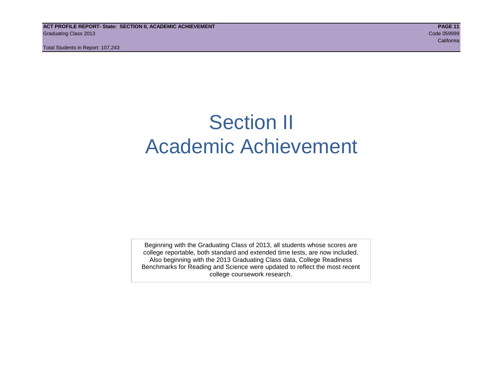# Section II Academic Achievement

Beginning with the Graduating Class of 2013, all students whose scores are college reportable, both standard and extended time tests, are now included. Also beginning with the 2013 Graduating Class data, College Readiness Benchmarks for Reading and Science were updated to reflect the most recent college coursework research.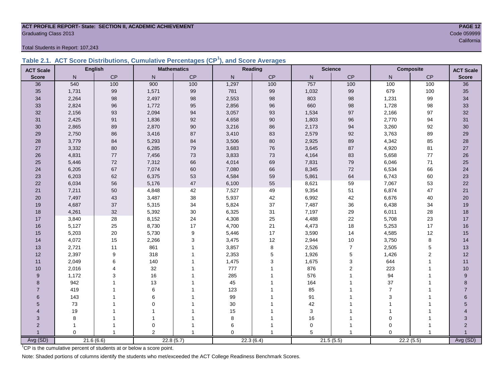# **ACT PROFILE REPORT- State: SECTION II, ACADEMIC ACHIEVEMENT PAGE 12** Graduating Class 2013 Code 059999<br>California

Total Students in Report: 107,243

|  | Table 2.1. ACT Score Distributions, Cumulative Percentages (CP <sup>1</sup> ), and Score Averages |  |  |  |
|--|---------------------------------------------------------------------------------------------------|--|--|--|
|  |                                                                                                   |  |  |  |

| <b>ACT Scale</b> |          | <b>English</b> |                | <b>Mathematics</b> |              | Reading       |             | <b>Science</b> | <b>Composite</b>          |                | <b>ACT Scale</b> |
|------------------|----------|----------------|----------------|--------------------|--------------|---------------|-------------|----------------|---------------------------|----------------|------------------|
| <b>Score</b>     | N        | CP             | $\mathsf{N}$   | $\mathsf{CP}$      | $\mathsf{N}$ | $\mathsf{CP}$ | ${\sf N}$   | CP             | N                         | CP             | <b>Score</b>     |
| 36               | 540      | 100            | 900            | 100                | 1,297        | 100           | 757         | 100            | 100                       | 100            | 36               |
| 35               | 1,731    | 99             | 1,571          | 99                 | 781          | 99            | 1,032       | 99             | 679                       | 100            | 35               |
| 34               | 2,264    | 98             | 2,497          | 98                 | 2,553        | 98            | 803         | 98             | 1,231                     | 99             | 34               |
| 33               | 2,824    | 96             | 1,772          | 95                 | 2,856        | 96            | 660         | 98             | 1,728                     | 98             | 33               |
| 32               | 2,156    | 93             | 2,094          | 94                 | 3,057        | 93            | 1,534       | 97             | 2,166                     | 97             | 32               |
| 31               | 2,425    | 91             | 1,836          | 92                 | 4,658        | 90            | 1,803       | 96             | 2,770                     | 94             | 31               |
| 30               | 2,865    | 89             | 2,870          | $90\,$             | 3,216        | 86            | 2,173       | 94             | 3,260                     | 92             | $30\,$           |
| 29               | 2,750    | 86             | 3,416          | 87                 | 3,410        | 83            | 2,579       | 92             | 3,763                     | 89             | 29               |
| 28               | 3,779    | 84             | 5,293          | 84                 | 3,506        | 80            | 2,925       | 89             | 4,342                     | 85             | 28               |
| 27               | 3,332    | 80             | 6,285          | 79                 | 3,683        | 76            | 3,645       | 87             | 4,920                     | 81             | 27               |
| 26               | 4,831    | 77             | 7,456          | 73                 | 3,833        | 73            | 4,164       | 83             | 5,658                     | 77             | 26               |
| 25               | 5,446    | 72             | 7,312          | 66                 | 4,014        | 69            | 7,831       | 79             | 6,046                     | 71             | 25               |
| 24               | 6,205    | 67             | 7,074          | 60                 | 7,080        | 66            | 8,345       | $72\,$         | 6,534                     | 66             | 24               |
| 23               | 6,203    | 62             | 6,375          | 53                 | 4,584        | 59            | 5,861       | 64             | 6,743                     | 60             | 23               |
| 22               | 6,034    | 56             | 5,176          | $47\,$             | 6,100        | 55            | 8,621       | 59             | 7,067                     | 53             | 22               |
| 21               | 7,211    | 50             | 4,848          | 42                 | 7,527        | 49            | 9,354       | 51             | 6,874                     | 47             | 21               |
| 20               | 7,497    | 43             | 3,487          | 38                 | 5,937        | 42            | 6,992       | 42             | 6,676                     | 40             | 20               |
| 19               | 4,687    | 37             | 5,315          | 34                 | 5,824        | 37            | 7,487       | 36             | 6,438                     | 34             | 19               |
| 18               | 4,261    | 32             | 5,392          | $30\,$             | 6,325        | 31            | 7,197       | 29             | 6,011                     | 28             | 18               |
| 17               | 3,840    | 28             | 8,152          | 24                 | 4,308        | 25            | 4,488       | 22             | 5,708                     | 23             | 17               |
| 16               | 5,127    | 25             | 8,730          | 17                 | 4,700        | 21            | 4,473       | 18             | 5,253                     | 17             | 16               |
| 15               | 5,203    | 20             | 5,730          | 9                  | 5,446        | 17            | 3,590       | 14             | 4,585                     | 12             | 15               |
| 14               | 4,072    | 15             | 2,266          | 3                  | 3,475        | 12            | 2,944       | $10$           | 3,750                     | 8              | 14               |
| 13               | 2,721    | 11             | 861            | $\mathbf{1}$       | 3,857        | 8             | 2,526       | $\overline{7}$ | 2,505                     | 5              | 13               |
| 12               | 2,397    | 9              | 318            | $\overline{1}$     | 2,353        | 5             | 1,926       | $\,$ 5 $\,$    | 1,426                     | $\overline{2}$ | 12               |
| 11               | 2,049    | 6              | 140            |                    | 1,475        | 3             | 1,675       | 3              | 644                       | 1              | 11               |
| 10               | 2,016    | 4              | 32             | 1                  | 777          |               | 876         | 2              | 223                       |                | 10               |
| 9                | 1,172    | 3              | 16             |                    | 285          |               | 576         |                | 94                        |                | 9                |
| 8                | 942      |                | 13             |                    | 45           |               | 164         |                | 37                        |                | 8                |
| $\overline{7}$   | 419      |                | 6              |                    | 123          |               | 85          |                | $\overline{7}$            |                | $\overline{7}$   |
| 6                | 143      |                | 6              |                    | 99           |               | 91          |                | $\ensuremath{\mathsf{3}}$ |                | 6                |
| 5                | 73       |                | $\mathbf 0$    |                    | $30\,$       |               | 42          |                |                           |                | 5                |
| 4                | 19       |                |                |                    | 15           |               | 3           |                |                           |                |                  |
| 3                | 8        |                |                |                    | 8            |               | 16          |                | $\Omega$                  |                | 3                |
| $\overline{2}$   |          | 1              | $\mathbf 0$    |                    | 6            |               | $\mathbf 0$ |                | $\Omega$                  |                | $\overline{2}$   |
|                  | $\Omega$ | $\mathbf{1}$   | $\overline{2}$ | $\mathbf{1}$       | $\Omega$     |               | 5           |                | $\Omega$                  |                |                  |
| Avg (SD)         |          | 21.6(6.6)      |                | 22.8(5.7)          |              | 22.3(6.4)     |             | 21.5(5.5)      |                           | 22.2(5.5)      | Avg (SD)         |

<sup>1</sup>CP is the cumulative percent of students at or below a score point.

Note: Shaded portions of columns identify the students who met/exceeded the ACT College Readiness Benchmark Scores.

california and the california and the california and the california and the california california and the california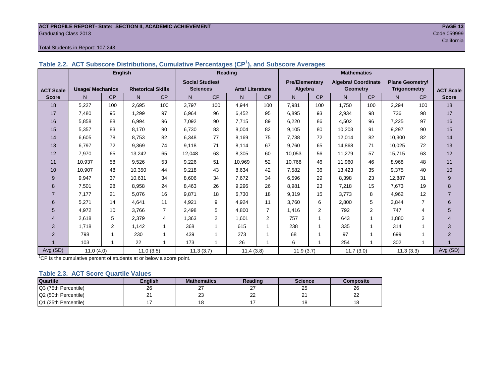#### **ACT PROFILE REPORT- State: SECTION II, ACADEMIC ACHIEVEMENT PAGE 13** Graduating Class 2013 Code 059999

#### Total Students in Report: 107,243

|                  |                         | <b>English</b> |                          |                |                        |                | <b>Reading</b>         |                | <b>Mathematics</b>    |                |                     |           |                        |                |                  |
|------------------|-------------------------|----------------|--------------------------|----------------|------------------------|----------------|------------------------|----------------|-----------------------|----------------|---------------------|-----------|------------------------|----------------|------------------|
|                  |                         |                |                          |                | <b>Social Studies/</b> |                |                        |                | <b>Pre/Elementary</b> |                | Algebra/ Coordinate |           | <b>Plane Geometry/</b> |                |                  |
| <b>ACT Scale</b> | <b>Usage/ Mechanics</b> |                | <b>Rhetorical Skills</b> |                | <b>Sciences</b>        |                | <b>Arts/Literature</b> |                | Algebra               |                | <b>Geometry</b>     |           | <b>Trigonometry</b>    |                | <b>ACT Scale</b> |
| <b>Score</b>     | N                       | CP             | N.                       | CP             | N                      | <b>CP</b>      | N.                     | CP             | N                     | <b>CP</b>      | N.                  | <b>CP</b> | N                      | <b>CP</b>      | <b>Score</b>     |
| 18               | 5,227                   | 100            | 2.695                    | 100            | 3.797                  | 100            | 4,944                  | 100            | 7,981                 | 100            | 1.750               | 100       | 2.294                  | 100            | 18               |
| 17               | 7.480                   | 95             | 1.299                    | 97             | 6,964                  | 96             | 6.452                  | 95             | 6,895                 | 93             | 2,934               | 98        | 736                    | 98             | 17               |
| 16               | 5,858                   | 88             | 6.994                    | 96             | 7,092                  | 90             | 7.715                  | 89             | 6,220                 | 86             | 4,502               | 96        | 7,225                  | 97             | 16               |
| 15               | 5,357                   | 83             | 8.170                    | 90             | 6,730                  | 83             | 8,004                  | 82             | 9,105                 | 80             | 10,203              | 91        | 9,297                  | 90             | 15               |
| 14               | 6,605                   | 78             | 8.753                    | 82             | 6,348                  | 77             | 8.169                  | 75             | 7,738                 | 72             | 12,014              | 82        | 10,300                 | 82             | 14               |
| 13               | 6.797                   | 72             | 9.369                    | 74             | 9,118                  | 71             | 8.114                  | 67             | 9.760                 | 65             | 14.868              | 71        | 10,025                 | 72             | 13               |
| 12               | 7.970                   | 65             | 13,242                   | 65             | 12,048                 | 63             | 8,305                  | 60             | 10,053                | 56             | 11,279              | 57        | 15.715                 | 63             | 12               |
| 11               | 10,937                  | 58             | 9,526                    | 53             | 9,226                  | 51             | 10,969                 | 52             | 10,768                | 46             | 11,960              | 46        | 8,968                  | 48             | 11               |
| 10               | 10,907                  | 48             | 10,350                   | 44             | 9,218                  | 43             | 8,634                  | 42             | 7,582                 | 36             | 13,423              | 35        | 9,375                  | 40             | 10               |
| 9                | 9,947                   | 37             | 10,631                   | 34             | 8,606                  | 34             | 7,672                  | 34             | 6,596                 | 29             | 8,398               | 23        | 12,887                 | 31             | 9                |
| 8                | 7,501                   | 28             | 8,958                    | 24             | 8,463                  | 26             | 9,296                  | 26             | 8,981                 | 23             | 7,218               | 15        | 7,673                  | 19             | 8                |
| $\overline{7}$   | 7,177                   | 21             | 5,076                    | 16             | 9,871                  | 18             | 6,730                  | 18             | 9,319                 | 15             | 3,773               | 8         | 4,962                  | 12             |                  |
| 6                | 5,271                   | 14             | 4,641                    | 11             | 4,921                  | 9              | 4,924                  | 11             | 3,760                 | 6              | 2,800               | 5         | 3,844                  | $\overline{7}$ | 6                |
| 5                | 4,972                   | 10             | 3.766                    | $\overline{7}$ | 2,498                  | 5              | 4,800                  | $\overline{7}$ | 1,416                 | $\overline{2}$ | 792                 | 2         | 747                    | 4              | 5                |
| 4                | 2,618                   | 5              | 2,379                    | 4              | 1,363                  | $\overline{2}$ | 1,601                  | 2              | 757                   | 1              | 643                 | -1        | 1,880                  | 3              | 4                |
| 3                | 1.718                   | $\overline{2}$ | 1,142                    | 1              | 368                    |                | 615                    | 1              | 238                   | 1              | 335                 | -1        | 314                    |                | 3                |
| $\overline{2}$   | 798                     |                | 230                      |                | 439                    |                | 273                    |                | 68                    | 1              | 97                  |           | 699                    |                | $\overline{2}$   |
|                  | 103                     |                | 22                       |                | 173                    |                | 26                     |                | 6                     | 1              | 254                 |           | 302                    |                |                  |
| Avg (SD)         | 11.0(4.0)               |                | 11.0(3.5)                |                | 11.3(3.7)              |                | 11.4(3.8)              |                | 11.9(3.7)             |                | 11.7(3.0)           |           | 11.3(3.3)              |                | Avg (SD)         |

#### **Table 2.2. ACT Subscore Distributions, Cumulative Percentages (CP<sup>1</sup> ), and Subscore Averages**

 $1$ <sup>-1</sup>CP is the cumulative percent of students at or below a score point.

#### **Table 2.3. ACT Score Quartile Values**

| <b>Quartile</b>      | Enalish | <b>Mathematics</b> | Reading  | <b>Science</b> | Composite |
|----------------------|---------|--------------------|----------|----------------|-----------|
| Q3 (75th Percentile) | 26      | <u>.</u>           | ا ک      | 25             | 26        |
| Q2 (50th Percentile) | n,<br>∼ | ົ<br>ںے            | nr<br>∠∠ | ິ              | ∼         |
| Q1 (25th Percentile) |         |                    |          | c              |           |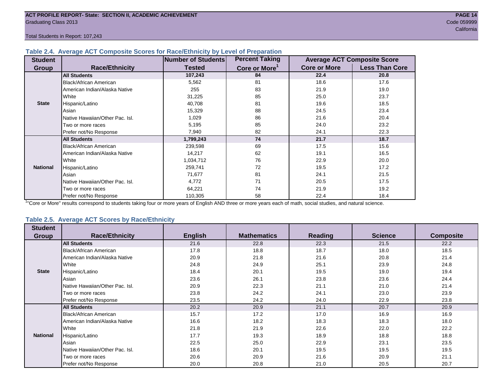Total Students in Report: 107,243

#### **Table 2.4. Average ACT Composite Scores for Race/Ethnicity by Level of Preparation**

| <b>Student</b>  |                                 | <b>Number of Students</b> | <b>Percent Taking</b>     |                     | <b>Average ACT Composite Score</b> |
|-----------------|---------------------------------|---------------------------|---------------------------|---------------------|------------------------------------|
| <b>Group</b>    | <b>Race/Ethnicity</b>           | <b>Tested</b>             | Core or More <sup>1</sup> | <b>Core or More</b> | <b>Less Than Core</b>              |
|                 | <b>All Students</b>             | 107,243                   | 84                        | 22.4                | 20.8                               |
|                 | <b>Black/African American</b>   | 5,562                     | 81                        | 18.6                | 17.6                               |
|                 | American Indian/Alaska Native   | 255                       | 83                        | 21.9                | 19.0                               |
|                 | White                           | 31,225                    | 85                        | 25.0                | 23.7                               |
| <b>State</b>    | Hispanic/Latino                 | 40,708                    | 81                        | 19.6                | 18.5                               |
|                 | Asian                           | 15,329                    | 88                        | 24.5                | 23.4                               |
|                 | Native Hawaiian/Other Pac. Isl. | 1,029                     | 86                        | 21.6                | 20.4                               |
|                 | I Two or more races             | 5,195                     | 85                        | 24.0                | 23.2                               |
|                 | Prefer not/No Response          | 7,940                     | 82                        | 24.1                | 22.3                               |
|                 | <b>All Students</b>             | 1,799,243                 | 74                        | 21.7                | 18.7                               |
|                 | Black/African American          | 239,598                   | 69                        | 17.5                | 15.6                               |
|                 | American Indian/Alaska Native   | 14,217                    | 62                        | 19.1                | 16.5                               |
|                 | <b>White</b>                    | 1,034,712                 | 76                        | 22.9                | 20.0                               |
| <b>National</b> | Hispanic/Latino                 | 259,741                   | 72                        | 19.5                | 17.2                               |
|                 | Asian                           | 71,677                    | 81                        | 24.1                | 21.5                               |
|                 | Native Hawaiian/Other Pac. Isl. | 4,772                     | 71                        | 20.5                | 17.5                               |
|                 | Two or more races               | 64,221                    | 74                        | 21.9                | 19.2                               |
|                 | Prefer not/No Response          | 110,305                   | 58                        | 22.4                | 18.4                               |

<sup>1</sup>"Core or More" results correspond to students taking four or more years of English AND three or more years each of math, social studies, and natural science.

### **Table 2.5. Average ACT Scores by Race/Ethnicity**

| <b>Student</b>  |                                 |                |                    |                |                |                  |
|-----------------|---------------------------------|----------------|--------------------|----------------|----------------|------------------|
| Group           | <b>Race/Ethnicity</b>           | <b>English</b> | <b>Mathematics</b> | <b>Reading</b> | <b>Science</b> | <b>Composite</b> |
|                 | <b>All Students</b>             | 21.6           | 22.8               | 22.3           | 21.5           | 22.2             |
|                 | Black/African American          | 17.8           | 18.8               | 18.7           | 18.0           | 18.5             |
|                 | American Indian/Alaska Native   | 20.9           | 21.8               | 21.6           | 20.8           | 21.4             |
|                 | White                           | 24.8           | 24.9               | 25.1           | 23.9           | 24.8             |
| <b>State</b>    | Hispanic/Latino                 | 18.4           | 20.1               | 19.5           | 19.0           | 19.4             |
|                 | Asian                           | 23.6           | 26.1               | 23.8           | 23.6           | 24.4             |
|                 | Native Hawaiian/Other Pac. Isl. | 20.9           | 22.3               | 21.1           | 21.0           | 21.4             |
|                 | Two or more races               | 23.8           | 24.2               | 24.1           | 23.0           | 23.9             |
|                 | Prefer not/No Response          | 23.5           | 24.2               | 24.0           | 22.9           | 23.8             |
|                 | <b>All Students</b>             | 20.2           | 20.9               | 21.1           | 20.7           | 20.9             |
|                 | <b>Black/African American</b>   | 15.7           | 17.2               | 17.0           | 16.9           | 16.9             |
|                 | American Indian/Alaska Native   | 16.6           | 18.2               | 18.3           | 18.3           | 18.0             |
|                 | White                           | 21.8           | 21.9               | 22.6           | 22.0           | 22.2             |
| <b>National</b> | Hispanic/Latino                 | 17.7           | 19.3               | 18.9           | 18.8           | 18.8             |
|                 | Asian                           | 22.5           | 25.0               | 22.9           | 23.1           | 23.5             |
|                 | Native Hawaiian/Other Pac. Isl. | 18.6           | 20.1               | 19.5           | 19.5           | 19.5             |
|                 | Two or more races               | 20.6           | 20.9               | 21.6           | 20.9           | 21.1             |
|                 | Prefer not/No Response          | 20.0           | 20.8               | 21.0           | 20.5           | 20.7             |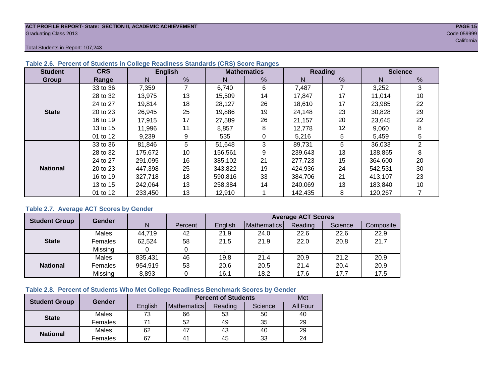#### **ACT PROFILE REPORT- State: SECTION II, ACADEMIC ACHIEVEMENT PAGE 15** Graduating Class 2013 Code 059999

Total Students in Report: 107,243

| <b>Student</b>  | <b>CRS</b> |         | <b>English</b> |         | <b>Mathematics</b> |         | Reading | <b>Science</b> |                |  |
|-----------------|------------|---------|----------------|---------|--------------------|---------|---------|----------------|----------------|--|
| Group           | Range      | N       | %              | N       | %                  | N       | %       | N              | %              |  |
|                 | 33 to 36   | 7,359   |                | 6,740   | 6                  | 7,487   | 7       | 3,252          | 3              |  |
|                 | 28 to 32   | 13.975  | 13             | 15.509  | 14                 | 17.847  | 17      | 11.014         | 10             |  |
|                 | 24 to 27   | 19,814  | 18             | 28,127  | 26                 | 18,610  | 17      | 23,985         | 22             |  |
| <b>State</b>    | 20 to 23   | 26,945  | 25             | 19,886  | 19                 | 24,148  | 23      | 30,828         | 29             |  |
|                 | 16 to 19   | 17.915  | 17             | 27.589  | 26                 | 21.157  | 20      | 23.645         | 22             |  |
|                 | 13 to 15   | 11,996  | 11             | 8,857   | 8                  | 12,778  | 12      | 9,060          | 8              |  |
|                 | 01 to 12   | 9,239   | 9              | 535     | 0                  | 5,216   | 5       | 5,459          | 5              |  |
|                 | 33 to 36   | 81,846  | 5              | 51,648  | 3                  | 89,731  | 5       | 36,033         | $\overline{2}$ |  |
|                 | 28 to 32   | 175,672 | 10             | 156,561 | 9                  | 239,643 | 13      | 138,865        | 8              |  |
|                 | 24 to 27   | 291.095 | 16             | 385.102 | 21                 | 277.723 | 15      | 364.600        | 20             |  |
| <b>National</b> | 20 to 23   | 447,398 | 25             | 343,822 | 19                 | 424,936 | 24      | 542,531        | 30             |  |
|                 | 16 to 19   | 327,718 | 18             | 590,816 | 33                 | 384.706 | 21      | 413.107        | 23             |  |
|                 | 13 to 15   | 242.064 | 13             | 258.384 | 14                 | 240.069 | 13      | 183,840        | 10             |  |
|                 | 01 to 12   | 233,450 | 13             | 12,910  |                    | 142,435 | 8       | 120,267        |                |  |

#### **Table 2.6. Percent of Students in College Readiness Standards (CRS) Score Ranges**

#### **Table 2.7. Average ACT Scores by Gender**

| <b>Student Group</b> | <b>Gender</b>  |         |         | <b>Average ACT Scores</b> |             |         |         |           |  |  |  |  |
|----------------------|----------------|---------|---------|---------------------------|-------------|---------|---------|-----------|--|--|--|--|
|                      |                | N       | Percent | English                   | Mathematics | Reading | Science | Composite |  |  |  |  |
|                      | Males          | 44,719  | 42      | 21.9                      | 24.0        | 22.6    | 22.6    | 22.9      |  |  |  |  |
| <b>State</b>         | <b>Females</b> | 62,524  | 58      | 21.5                      | 21.9        | 22.0    | 20.8    | 21.7      |  |  |  |  |
|                      | Missing        |         |         |                           |             |         |         |           |  |  |  |  |
|                      | Males          | 835,431 | 46      | 19.8                      | 21.4        | 20.9    | 21.2    | 20.9      |  |  |  |  |
| <b>National</b>      | Females        | 954,919 | 53      | 20.6                      | 20.5        | 21.4    | 20.4    | 20.9      |  |  |  |  |
|                      | Missing        | 8,893   |         | 16.1                      | 18.2        | 17.6    | 17.7    | 17.5      |  |  |  |  |

#### **Table 2.8. Percent of Students Who Met College Readiness Benchmark Scores by Gender**

| <b>Student Group</b> | <b>Gender</b> |         | <b>Percent of Students</b> |         |         |          |  |  |  |  |
|----------------------|---------------|---------|----------------------------|---------|---------|----------|--|--|--|--|
|                      |               | English | <b>Mathematics</b>         | Reading | Science | All Four |  |  |  |  |
|                      | Males         | 73      | 66                         | 53      | 50      | 40       |  |  |  |  |
| <b>State</b>         | Females       |         | 52                         | 49      | 35      | 29       |  |  |  |  |
| <b>National</b>      | Males         | 62      | 47                         | 43      | 40      | 29       |  |  |  |  |
|                      | Females       | 67      | 4 <sup>1</sup>             | 45      | 33      | 24       |  |  |  |  |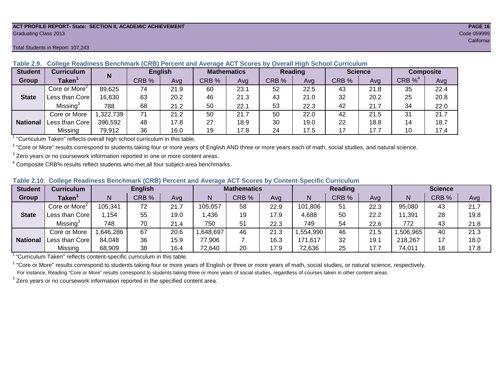#### **ACT PROFILE REPORT- State: SECTION II, ACADEMIC ACHIEVEMENT PAGE 16** Graduating Class 2013 Code 059999

#### Total Students in Report: 107,243

| <b>Student</b>  | <b>Curriculum</b>           | N        | <b>English</b> |      | <b>Mathematics</b> |      | Reading |      |       | <b>Science</b> | <b>Composite</b> |      |
|-----------------|-----------------------------|----------|----------------|------|--------------------|------|---------|------|-------|----------------|------------------|------|
| Group           | $\mathsf{Taken}^{\check{}}$ |          | CRB %          | Avg  | CRB %              | Ava  | CRB %   | Avg  | CRB % | Ava            | CRB $\%^4$       | Avg  |
|                 | Core or More <sup>2</sup>   | 89,625   | 74             | 21.9 | 60                 | 23.1 | 52      | 22.5 | 43    | 21.8           | 35               | 22.4 |
| <b>State</b>    | Less than Corel             | 16,830   | 63             | 20.2 | 46                 | 21.3 | 43      | 21.0 | 32    | 20.2           | 25               | 20.8 |
|                 | Missing <sup>3</sup>        | 788      | 68             | 21.2 | 50                 | 22.1 | 53      | 22.3 | 42    | 21.7           | 34               | 22.0 |
|                 | Core or More                | ,322,739 | 71             | 21.2 | 50                 | 21.7 | 50      | 22.0 | 42    | 21.5           | 31               | 21.7 |
| <b>National</b> | Less than Core              | 396,592  | 48             | 17.8 | 27                 | 18.9 | 30      | 19.0 | 22    | 18.8           | 14               | 18.7 |
|                 | Missing                     | 79,912   | 36             | 16.0 | 19                 | 17.8 | 24      | 17.5 | 17    | 17.7           | 10               | 17.4 |

### **Table 2.9. College Readiness Benchmark (CRB) Percent and Average ACT Scores by Overall High School Curriculum**

<sup>1</sup> "Curriculum Taken" reflects overall high school curriculum in this table.

 $^2$  "Core or More" results correspond to students taking four or more years of English AND three or more years each of math, social studies, and natural science.

 $3$  Zero years or no coursework information reported in one or more content areas.

 $4$  Composite CRB% results reflect students who met all four subject-area benchmarks.

#### **Table 2.10. College Readiness Benchmark (CRB) Percent and Average ACT Scores by Content-Specific Curriculum**

| <b>Student</b>  | Curriculum                |          | <b>English</b> |      |          | <b>Mathematics</b> |      |          | <b>Reading</b> |      |          | <b>Science</b> |      |  |
|-----------------|---------------------------|----------|----------------|------|----------|--------------------|------|----------|----------------|------|----------|----------------|------|--|
| Group           | <b>Taken</b>              |          | CRB %          | Avg  |          | CRB %              | Avg  | N        | CRB %          | Avg  | N        | CRB %          | Avg  |  |
|                 | Core or More <sup>2</sup> | 105,341  | 72             | 21.7 | 105,057  | 58                 | 22.9 | 101,806  | 51             | 22.3 | 95,080   | 43             | 21.7 |  |
| <b>State</b>    | Less than Core            | .154     | 55             | 19.0 | .436     | 19                 | 17.9 | 4,688    | 50             | 22.2 | 11,391   | 28             | 19.8 |  |
|                 | Missing <sup>3</sup>      | 748      | 70             | 21.4 | 750      | 51                 | 22.3 | 749      | 54             | 22.6 | 772      | 43             | 21.8 |  |
|                 | Core or More              | ,646,286 | 67             | 20.6 | ,648,697 | 46                 | 21.3 | ,554,990 | 46             | 21.5 | ,506,965 | 40             | 21.3 |  |
| <b>National</b> | Less than Core            | 84,048   | 36             | 15.9 | 77,906   |                    | 16.3 | 171,617  | 32             | 19.1 | 218,267  |                | 18.0 |  |
|                 | Missing                   | 68,909   | 38             | 16.4 | 72,640   | 20                 | 17.9 | 72,636   | 25             | 17.7 | 74,011   | 18             | 17.8 |  |

<sup>1</sup>"Curriculum Taken" reflects content-specific curriculum in this table.

<sup>2</sup> "Core or More" results correspond to students taking four or more years of English or three or more years of math, social studies, or natural science, respectively. For instance, Reading "Core or More" results correspond to students taking three or more years of social studies, regardless of courses taken in other content areas.

 $3$  Zero years or no coursework information reported in the specified content area.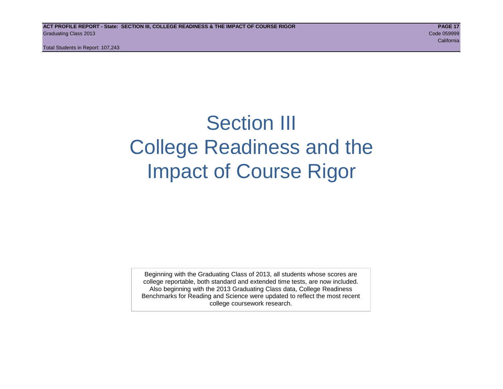Total Students in Report: 107,243

# Section III College Readiness and the Impact of Course Rigor

Beginning with the Graduating Class of 2013, all students whose scores are college reportable, both standard and extended time tests, are now included. Also beginning with the 2013 Graduating Class data, College Readiness Benchmarks for Reading and Science were updated to reflect the most recent college coursework research.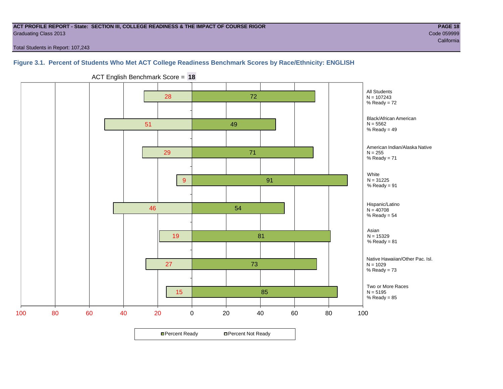#### **ACT PROFILE REPORT - State: SECTION III, COLLEGE READINESS & THE IMPACT OF COURSE RIGOR PAGE 18** Graduating Class 2013 Code 059999

Total Students in Report: 107,243

# **Figure 3.1. Percent of Students Who Met ACT College Readiness Benchmark Scores by Race/Ethnicity: ENGLISH**



ACT English Benchmark Score = **18**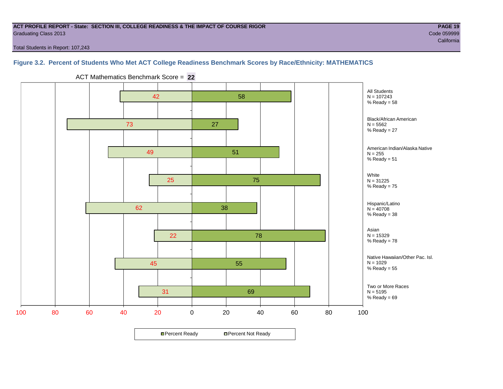#### **ACT PROFILE REPORT - State: SECTION III, COLLEGE READINESS & THE IMPACT OF COURSE RIGOR PAGE 19** Graduating Class 2013 Code 059999

california and the california and the california and the california and the california california and the california

Total Students in Report: 107,243

# **Figure 3.2. Percent of Students Who Met ACT College Readiness Benchmark Scores by Race/Ethnicity: MATHEMATICS**



ACT Mathematics Benchmark Score = **22**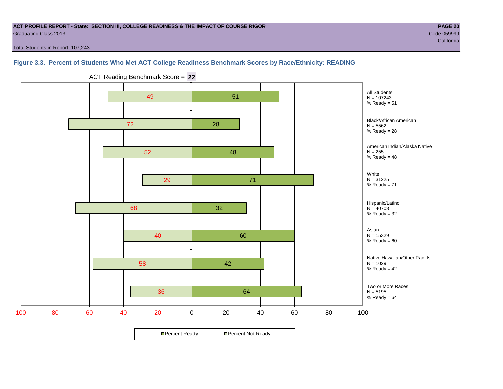#### **ACT PROFILE REPORT - State: SECTION III, COLLEGE READINESS & THE IMPACT OF COURSE RIGOR PAGE 20** Graduating Class 2013 Code 059999

california and the california and the california and the california and the california california and the california

Total Students in Report: 107,243

### **Figure 3.3. Percent of Students Who Met ACT College Readiness Benchmark Scores by Race/Ethnicity: READING**



ACT Reading Benchmark Score = **22**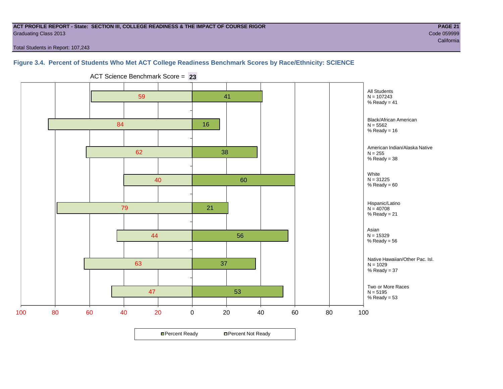#### **ACT PROFILE REPORT - State: SECTION III, COLLEGE READINESS & THE IMPACT OF COURSE RIGOR PAGE 21** Graduating Class 2013 Code 059999

Total Students in Report: 107,243

# **Figure 3.4. Percent of Students Who Met ACT College Readiness Benchmark Scores by Race/Ethnicity: SCIENCE**



ACT Science Benchmark Score = **23**

california and the california and the california and the california and the california california and the california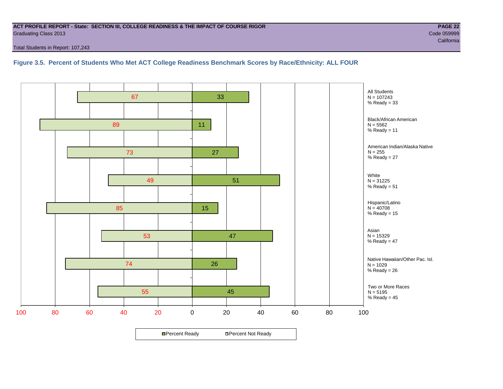#### **ACT PROFILE REPORT - State: SECTION III, COLLEGE READINESS & THE IMPACT OF COURSE RIGOR PAGE 22** Graduating Class 2013 Code 059999

Total Students in Report: 107,243

**Figure 3.5. Percent of Students Who Met ACT College Readiness Benchmark Scores by Race/Ethnicity: ALL FOUR**

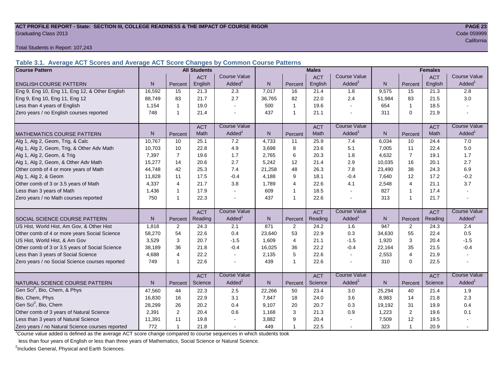#### **ACT PROFILE REPORT - State: SECTION III, COLLEGE READINESS & THE IMPACT OF COURSE RIGOR PAGE 23** Graduating Class 2013 Code 059999

Total Students in Report: 107,243

**Table 3.1. Average ACT Scores and Average ACT Score Changes by Common Course Patterns**

| <b>Course Pattern</b>                            |        |                | <b>All Students</b> |                     |              |                | <b>Males</b> |                          |              |                | <b>Females</b> |                        |
|--------------------------------------------------|--------|----------------|---------------------|---------------------|--------------|----------------|--------------|--------------------------|--------------|----------------|----------------|------------------------|
|                                                  |        |                | <b>ACT</b>          | <b>Course Value</b> |              |                | <b>ACT</b>   | <b>Course Value</b>      |              |                | <b>ACT</b>     | <b>Course Value</b>    |
| <b>ENGLISH COURSE PATTERN</b>                    | N.     | Percent        | English             | Added <sup>®</sup>  | N            | Percent        | English      | Added                    | N            | Percent        | English        | A d d e d <sup>1</sup> |
| Eng 9, Eng 10, Eng 11, Eng 12, & Other English   | 16,592 | 15             | 21.3                | 2.3                 | 7,017        | 16             | 21.4         | 1.8                      | 9,575        | 15             | 21.3           | 2.8                    |
| Eng 9, Eng 10, Eng 11, Eng 12                    | 88.749 | 83             | 21.7                | 2.7                 | 36.765       | 82             | 22.0         | 2.4                      | 51.984       | 83             | 21.5           | 3.0                    |
| Less than 4 years of English                     | 1,154  |                | 19.0                |                     | 500          | $\overline{1}$ | 19.6         | $\sim$                   | 654          | 1              | 18.5           |                        |
| Zero years / no English courses reported         | 748    |                | 21.4                |                     | 437          | $\overline{1}$ | 21.1         | $\overline{\phantom{a}}$ | 311          | $\Omega$       | 21.9           |                        |
|                                                  |        |                | <b>ACT</b>          | <b>Course Value</b> |              |                | <b>ACT</b>   | <b>Course Value</b>      |              |                | <b>ACT</b>     | <b>Course Value</b>    |
| <b>MATHEMATICS COURSE PATTERN</b>                | N.     | Percent        | Math                | Added <sup>1</sup>  | $\mathsf{N}$ | Percent        | Math         | Added <sup>1</sup>       | $\mathsf{N}$ | Percent        | Math           | A d d e d <sup>1</sup> |
| Alg 1, Alg 2, Geom, Trig, & Calc                 | 10.767 | 10             | 25.1                | 7.2                 | 4,733        | 11             | 25.9         | 7.4                      | 6,034        | 10             | 24.4           | 7.0                    |
| Alg 1, Alg 2, Geom, Trig, & Other Adv Math       | 10,703 | 10             | 22.8                | 4.9                 | 3,698        | 8              | 23.6         | 5.1                      | 7,005        | 11             | 22.4           | 5.0                    |
| Alg 1, Alg 2, Geom, & Trig                       | 7.397  | $\overline{7}$ | 19.6                | 1.7                 | 2,765        | 6              | 20.3         | 1.8                      | 4,632        | $\overline{7}$ | 19.1           | 1.7                    |
| Alg 1, Alg 2, Geom, & Other Adv Math             | 15,277 | 14             | 20.6                | 2.7                 | 5,242        | 12             | 21.4         | 2.9                      | 10,035       | 16             | 20.1           | 2.7                    |
| Other comb of 4 or more years of Math            | 44,748 | 42             | 25.3                | 7.4                 | 21,258       | 48             | 26.3         | 7.8                      | 23,490       | 38             | 24.3           | 6.9                    |
| Alg 1, Alg 2, & Geom                             | 11,828 | 11             | 17.5                | $-0.4$              | 4,188        | 9              | 18.1         | $-0.4$                   | 7,640        | 12             | 17.2           | $-0.2$                 |
| Other comb of 3 or 3.5 years of Math             | 4,337  | 4              | 21.7                | 3.8                 | 1,789        | $\overline{4}$ | 22.6         | 4.1                      | 2,548        | 4              | 21.1           | 3.7                    |
| Less than 3 years of Math                        | 1.436  | -1             | 17.9                |                     | 609          | $\overline{1}$ | 18.5         | $\sim$                   | 827          | 1              | 17.4           |                        |
| Zero years / no Math courses reported            | 750    | -1             | 22.3                |                     | 437          | $\overline{1}$ | 22.6         | $\overline{\phantom{a}}$ | 313          | 1              | 21.7           |                        |
|                                                  |        |                | <b>ACT</b>          | <b>Course Value</b> |              |                | <b>ACT</b>   | <b>Course Value</b>      |              |                | <b>ACT</b>     | <b>Course Value</b>    |
| SOCIAL SCIENCE COURSE PATTERN                    | N.     | Percent        | Reading             | Added <sup>1</sup>  | $\mathsf{N}$ | Percent        | Reading      | Added                    | N            | Percent        | Reading        | A d d e d <sup>1</sup> |
| US Hist, World Hist, Am Gov, & Other Hist        | 1.818  | 2              | 24.3                | 2.1                 | 871          | 2              | 24.2         | 1.6                      | 947          | 2              | 24.3           | 2.4                    |
| Other comb of 4 or more years Social Science     | 58,270 | 54             | 22.6                | 0.4                 | 23,640       | 53             | 22.9         | 0.3                      | 34,630       | 55             | 22.4           | 0.5                    |
| US Hist, World Hist, & Am Gov                    | 3,529  | 3              | 20.7                | $-1.5$              | 1,609        | $\overline{4}$ | 21.1         | $-1.5$                   | 1,920        | 3              | 20.4           | $-1.5$                 |
| Other comb of 3 or 3.5 years of Social Science   | 38,189 | 36             | 21.8                | $-0.4$              | 16,025       | 36             | 22.2         | $-0.4$                   | 22,164       | 35             | 21.5           | $-0.4$                 |
| Less than 3 years of Social Science              | 4,688  | $\overline{4}$ | 22.2                |                     | 2,135        | 5              | 22.6         | $\blacksquare$           | 2,553        | $\overline{4}$ | 21.9           |                        |
| Zero years / no Social Science courses reported  | 749    |                | 22.6                |                     | 439          | $\overline{1}$ | 22.6         | $\overline{\phantom{a}}$ | 310          | $\Omega$       | 22.5           |                        |
|                                                  |        |                | <b>ACT</b>          | <b>Course Value</b> |              |                | <b>ACT</b>   | <b>Course Value</b>      |              |                | <b>ACT</b>     | <b>Course Value</b>    |
| <b>I</b> NATURAL SCIENCE COURSE PATTERN          | N.     | Percent        | Science             | Added <sup>1</sup>  | $\mathsf{N}$ | Percent        | Science      | Added <sup>1</sup>       | $\mathsf{N}$ | Percent        | Science        | A d d e d <sup>1</sup> |
| Gen Sci <sup>2</sup> , Bio, Chem, & Phys         | 47,560 | 44             | 22.3                | $2.5\,$             | 22,266       | 50             | 23.4         | 3.0                      | 25,294       | 40             | 21.4           | 1.9                    |
| Bio, Chem, Phys                                  | 16,830 | 16             | 22.9                | 3.1                 | 7,847        | 18             | 24.0         | 3.6                      | 8,983        | 14             | 21.8           | 2.3                    |
| Gen Sci <sup>2</sup> , Bio, Chem                 | 28,299 | 26             | 20.2                | 0.4                 | 9,107        | 20             | 20.7         | 0.3                      | 19,192       | 31             | 19.9           | 0.4                    |
| Other comb of 3 years of Natural Science         | 2,391  | 2              | 20.4                | 0.6                 | 1,168        | 3              | 21.3         | 0.9                      | 1,223        | $\mathbf{2}$   | 19.6           | 0.1                    |
| Less than 3 years of Natural Science             | 11,391 | 11             | 19.8                |                     | 3,882        | 9              | 20.4         |                          | 7,509        | 12             | 19.5           |                        |
| Zero years / no Natural Science courses reported | 772    |                | 21.8                |                     | 449          | $\overline{1}$ | 22.5         | $\sim$                   | 323          | 1              | 20.9           |                        |

<sup>1</sup>Course value added is defined as the average ACT score change compared to course sequences in which students took

less than four years of English or less than three years of Mathematics, Social Science or Natural Science.

<sup>2</sup>Includes General, Physical and Earth Sciences.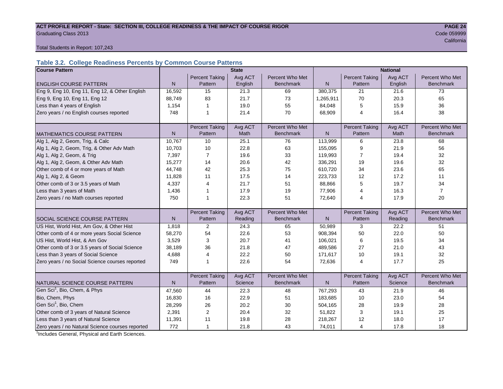#### ACT PROFILE REPORT - State: SECTION III, COLLEGE READINESS & THE IMPACT OF COURSE RIGOR **PAGE 24 Graduating Class 2013** Code 059999 Code 059999

california and the contract of the contract of the contract of the contract of the contract of the California

#### Total Students in Report: 107,243

# **Table 3.2. College Readiness Percents by Common Course Patterns**

| <b>Course Pattern</b>                            |              |                       | <b>State</b> |                  | <b>National</b> |                       |         |                  |  |
|--------------------------------------------------|--------------|-----------------------|--------------|------------------|-----------------|-----------------------|---------|------------------|--|
|                                                  |              | <b>Percent Taking</b> | Avg ACT      | Percent Who Met  |                 | <b>Percent Taking</b> | Avg ACT | Percent Who Met  |  |
| <b>ENGLISH COURSE PATTERN</b>                    | $\mathsf{N}$ | Pattern               | English      | <b>Benchmark</b> | N               | Pattern               | English | <b>Benchmark</b> |  |
| Eng 9, Eng 10, Eng 11, Eng 12, & Other English   | 16,592       | 15                    | 21.3         | 69               | 380,375         | 21                    | 21.6    | 73               |  |
| Eng 9, Eng 10, Eng 11, Eng 12                    | 88,749       | 83                    | 21.7         | 73               | 1,265,911       | 70                    | 20.3    | 65               |  |
| Less than 4 years of English                     | 1,154        | 1                     | 19.0         | 55               | 84,048          | 5                     | 15.9    | 36               |  |
| Zero years / no English courses reported         | 748          | $\mathbf{1}$          | 21.4         | 70               | 68,909          | $\overline{4}$        | 16.4    | 38               |  |
|                                                  |              |                       |              |                  |                 |                       |         |                  |  |
|                                                  |              | <b>Percent Taking</b> | Avg ACT      | Percent Who Met  |                 | <b>Percent Taking</b> | Avg ACT | Percent Who Met  |  |
| <b>MATHEMATICS COURSE PATTERN</b>                | $\mathsf{N}$ | Pattern               | Math         | Benchmark        | $\mathsf{N}$    | Pattern               | Math    | Benchmark        |  |
| Alg 1, Alg 2, Geom, Trig, & Calc                 | 10,767       | 10                    | 25.1         | 76               | 113,999         | 6                     | 23.8    | 68               |  |
| Alg 1, Alg 2, Geom, Trig, & Other Adv Math       | 10,703       | 10                    | 22.8         | 63               | 155,095         | 9                     | 21.9    | 56               |  |
| Alg 1, Alg 2, Geom, & Trig                       | 7,397        | $\overline{7}$        | 19.6         | 33               | 119,993         | 7                     | 19.4    | 32               |  |
| Alg 1, Alg 2, Geom, & Other Adv Math             | 15,277       | 14                    | 20.6         | 42               | 336,291         | 19                    | 19.6    | 32               |  |
| Other comb of 4 or more years of Math            | 44,748       | 42                    | 25.3         | 75               | 610,720         | 34                    | 23.6    | 65               |  |
| Alg 1, Alg 2, & Geom                             | 11,828       | 11                    | 17.5         | 14               | 223,733         | 12                    | 17.2    | 11               |  |
| Other comb of 3 or 3.5 years of Math             | 4,337        | $\overline{4}$        | 21.7         | 51               | 88,866          | 5                     | 19.7    | 34               |  |
| Less than 3 years of Math                        | 1,436        |                       | 17.9         | 19               | 77,906          | 4                     | 16.3    | $\overline{7}$   |  |
| Zero years / no Math courses reported            | 750          | 1                     | 22.3         | 51               | 72,640          | 4                     | 17.9    | 20               |  |
|                                                  |              |                       |              |                  |                 |                       |         |                  |  |
|                                                  |              | <b>Percent Taking</b> | Avg ACT      | Percent Who Met  |                 | <b>Percent Taking</b> | Avg ACT | Percent Who Met  |  |
| <b>SOCIAL SCIENCE COURSE PATTERN</b>             | N            | Pattern               | Reading      | <b>Benchmark</b> | N               | Pattern               | Reading | <b>Benchmark</b> |  |
| US Hist, World Hist, Am Gov, & Other Hist        | 1,818        | 2                     | 24.3         | 65               | 50,989          | 3                     | 22.2    | 51               |  |
| Other comb of 4 or more years Social Science     | 58,270       | 54                    | 22.6         | 53               | 908,394         | 50                    | 22.0    | 50               |  |
| US Hist, World Hist, & Am Gov                    | 3,529        | 3                     | 20.7         | 41               | 106,021         | 6                     | 19.5    | 34               |  |
| Other comb of 3 or 3.5 years of Social Science   | 38,189       | 36                    | 21.8         | 47               | 489.586         | 27                    | 21.0    | 43               |  |
| Less than 3 years of Social Science              | 4,688        | $\overline{4}$        | 22.2         | 50               | 171,617         | 10                    | 19.1    | 32               |  |
| Zero years / no Social Science courses reported  | 749          | $\mathbf{1}$          | 22.6         | 54               | 72,636          | 4                     | 17.7    | 25               |  |
|                                                  |              |                       |              |                  |                 |                       |         |                  |  |
|                                                  |              | <b>Percent Taking</b> | Avg ACT      | Percent Who Met  |                 | Percent Taking        | Avg ACT | Percent Who Met  |  |
| NATURAL SCIENCE COURSE PATTERN                   | N            | Pattern               | Science      | <b>Benchmark</b> | N               | Pattern               | Science | <b>Benchmark</b> |  |
| Gen Sci <sup>1</sup> , Bio, Chem, & Phys         | 47,560       | 44                    | 22.3         | 48               | 767,293         | 43                    | 21.9    | 46               |  |
| Bio, Chem, Phys                                  | 16,830       | 16                    | 22.9         | 51               | 183,685         | 10                    | 23.0    | 54               |  |
| Gen Sci <sup>1</sup> , Bio, Chem                 | 28,299       | 26                    | 20.2         | 30               | 504,165         | 28                    | 19.9    | 28               |  |
| Other comb of 3 years of Natural Science         | 2,391        | 2                     | 20.4         | 32               | 51,822          | 3                     | 19.1    | 25               |  |
| Less than 3 years of Natural Science             | 11,391       | 11                    | 19.8         | 28               | 218,267         | 12                    | 18.0    | 17               |  |
| Zero years / no Natural Science courses reported | 772          | 1                     | 21.8         | 43               | 74,011          | 4                     | 17.8    | 18               |  |

<sup>1</sup>Includes General, Physical and Earth Sciences.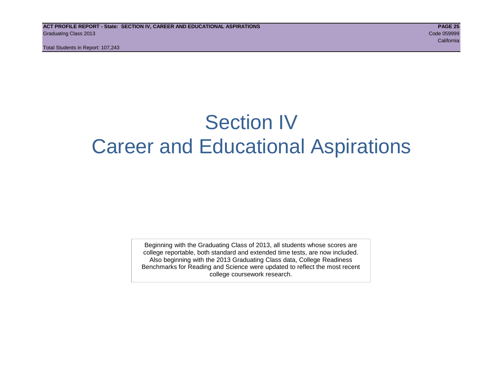Total Students in Report: 107,243

# Section IV Career and Educational Aspirations

Beginning with the Graduating Class of 2013, all students whose scores are college reportable, both standard and extended time tests, are now included. Also beginning with the 2013 Graduating Class data, College Readiness Benchmarks for Reading and Science were updated to reflect the most recent college coursework research.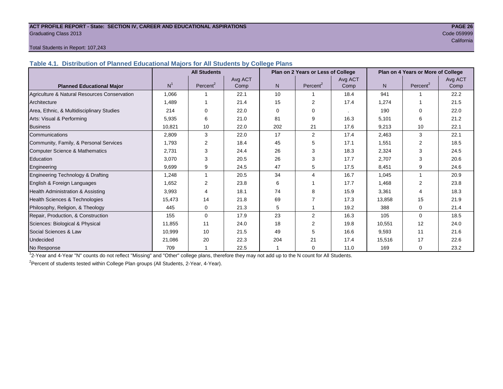#### **ACT PROFILE REPORT - State: SECTION IV, CAREER AND EDUCATIONAL ASPIRATIONS PAGE 26** Graduating Class 2013 Code 059999

# california and the california and the california and the california and the california california and the california

#### Total Students in Report: 107,243

**Table 4.1. Distribution of Planned Educational Majors for All Students by College Plans**

|                                              | <b>All Students</b><br>Plan on 2 Years or Less of College |                      |         |          |                          |         |        | Plan on 4 Years or More of College |         |
|----------------------------------------------|-----------------------------------------------------------|----------------------|---------|----------|--------------------------|---------|--------|------------------------------------|---------|
|                                              | N <sup>1</sup>                                            |                      | Avg ACT |          |                          | Avg ACT |        |                                    | Avg ACT |
| <b>Planned Educational Major</b>             |                                                           | Percent <sup>2</sup> | Comp    | N        | Percent <sup>2</sup>     | Comp    | N      | Percent <sup>2</sup>               | Comp    |
| Agriculture & Natural Resources Conservation | 1,066                                                     |                      | 22.1    | 10       |                          | 18.4    | 941    |                                    | 22.2    |
| Architecture                                 | 1,489                                                     |                      | 21.4    | 15       | $\mathcal{P}$            | 17.4    | 1,274  |                                    | 21.5    |
| Area, Ethnic, & Multidisciplinary Studies    | 214                                                       | $\Omega$             | 22.0    | $\Omega$ | 0                        |         | 190    | $\Omega$                           | 22.0    |
| Arts: Visual & Performing                    | 5,935                                                     | 6                    | 21.0    | 81       | 9                        | 16.3    | 5,101  | 6                                  | 21.2    |
| <b>Business</b>                              | 10.821                                                    | 10                   | 22.0    | 202      | 21                       | 17.6    | 9,213  | 10                                 | 22.1    |
| Communications                               | 2,809                                                     | 3                    | 22.0    | 17       | 2                        | 17.4    | 2,463  | 3                                  | 22.1    |
| Community, Family, & Personal Services       | 1,793                                                     | $\overline{2}$       | 18.4    | 45       | 5                        | 17.1    | 1,551  | $\overline{2}$                     | 18.5    |
| <b>Computer Science &amp; Mathematics</b>    | 2,731                                                     | 3                    | 24.4    | 26       | 3                        | 18.3    | 2,324  | 3                                  | 24.5    |
| Education                                    | 3,070                                                     | 3                    | 20.5    | 26       | 3                        | 17.7    | 2,707  | 3                                  | 20.6    |
| Engineering                                  | 9,699                                                     | 9                    | 24.5    | 47       | 5                        | 17.5    | 8,451  | 9                                  | 24.6    |
| Engineering Technology & Drafting            | 1,248                                                     |                      | 20.5    | 34       | $\overline{\mathcal{L}}$ | 16.7    | 1,045  |                                    | 20.9    |
| English & Foreign Languages                  | 1,652                                                     | 2                    | 23.8    | 6        |                          | 17.7    | 1,468  | 2                                  | 23.8    |
| Health Administration & Assisting            | 3,993                                                     | 4                    | 18.1    | 74       | 8                        | 15.9    | 3,361  | 4                                  | 18.3    |
| Health Sciences & Technologies               | 15,473                                                    | 14                   | 21.8    | 69       |                          | 17.3    | 13,858 | 15                                 | 21.9    |
| Philosophy, Religion, & Theology             | 445                                                       | 0                    | 21.3    | 5        |                          | 19.2    | 388    | $\Omega$                           | 21.4    |
| Repair, Production, & Construction           | 155                                                       | $\Omega$             | 17.9    | 23       | $\overline{2}$           | 16.3    | 105    | $\Omega$                           | 18.5    |
| Sciences: Biological & Physical              | 11,855                                                    | 11                   | 24.0    | 18       | 2                        | 19.8    | 10,551 | 12                                 | 24.0    |
| Social Sciences & Law                        | 10,999                                                    | 10                   | 21.5    | 49       | 5                        | 16.6    | 9,593  | 11                                 | 21.6    |
| Undecided                                    | 21,086                                                    | 20                   | 22.3    | 204      | 21                       | 17.4    | 15,516 | 17                                 | 22.6    |
| No Response                                  | 709                                                       |                      | 22.5    |          | 0                        | 11.0    | 169    | $\mathbf 0$                        | 23.2    |

1 2-Year and 4-Year "N" counts do not reflect "Missing" and "Other" college plans, therefore they may not add up to the N count for All Students.

<sup>2</sup> Percent of students tested within College Plan groups (All Students, 2-Year, 4-Year).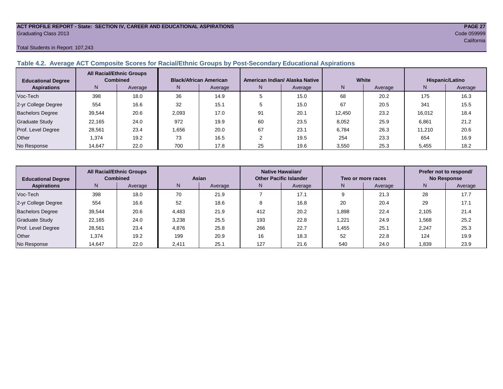#### **ACT PROFILE REPORT - State: SECTION IV, CAREER AND EDUCATIONAL ASPIRATIONS PAGE 27** Graduating Class 2013 Code 059999

Total Students in Report: 107,243

#### **Table 4.2. Average ACT Composite Scores for Racial/Ethnic Groups by Post-Secondary Educational Aspirations**

| <b>Educational Degree</b> | <b>All Racial/Ethnic Groups</b><br><b>Combined</b> |         | <b>Black/African American</b> |         |    | American Indian/ Alaska Native |        | White   | Hispanic/Latino |         |  |
|---------------------------|----------------------------------------------------|---------|-------------------------------|---------|----|--------------------------------|--------|---------|-----------------|---------|--|
| <b>Aspirations</b>        | N.                                                 | Average | N.                            | Average | N. | Average                        | N      | Average | N               | Average |  |
| Voc-Tech                  | 398                                                | 18.0    | 36                            | 14.9    |    | 15.0                           | 68     | 20.2    | 175             | 16.3    |  |
| 2-yr College Degree       | 554                                                | 16.6    | 32                            | 15.1    |    | 15.0                           | 67     | 20.5    | 341             | 15.5    |  |
| <b>Bachelors Degree</b>   | 39,544                                             | 20.6    | 2,093                         | 17.0    | 91 | 20.1                           | 12.450 | 23.2    | 16,012          | 18.4    |  |
| <b>Graduate Study</b>     | 22.165                                             | 24.0    | 972                           | 19.9    | 60 | 23.5                           | 8,052  | 25.9    | 6,861           | 21.2    |  |
| Prof. Level Degree        | 28,561                                             | 23.4    | 1.656                         | 20.0    | 67 | 23.1                           | 6.784  | 26.3    | 11.210          | 20.6    |  |
| Other                     | 1,374                                              | 19.2    | 73                            | 16.5    |    | 19.5                           | 254    | 23.3    | 654             | 16.9    |  |
| No Response               | 14,647                                             | 22.0    | 700                           | 17.8    | 25 | 19.6                           | 3,550  | 25.3    | 5,455           | 18.2    |  |

| <b>Educational Degree</b> | <b>All Racial/Ethnic Groups</b><br><b>Combined</b> |         | Asian |         | Native Hawaiian/<br><b>Other Pacific Islander</b> |         |       | Two or more races | Prefer not to respond/<br><b>No Response</b> |         |  |
|---------------------------|----------------------------------------------------|---------|-------|---------|---------------------------------------------------|---------|-------|-------------------|----------------------------------------------|---------|--|
| <b>Aspirations</b>        | N                                                  | Average | N     | Average | N                                                 | Average | N     | Average           | N                                            | Average |  |
| Voc-Tech                  | 398                                                | 18.0    | 70    | 21.9    |                                                   | 17.1    |       | 21.3              | 28                                           | 17.7    |  |
| 2-yr College Degree       | 554                                                | 16.6    | 52    | 18.6    |                                                   | 16.8    | 20    | 20.4              | 29                                           | 17.1    |  |
| <b>Bachelors Degree</b>   | 39,544                                             | 20.6    | 4.483 | 21.9    | 412                                               | 20.2    | 1,898 | 22.4              | 2.105                                        | 21.4    |  |
| Graduate Study            | 22.165                                             | 24.0    | 3,238 | 25.5    | 193                                               | 22.8    | 1,221 | 24.9              | 1,568                                        | 25.2    |  |
| Prof. Level Degree        | 28.561                                             | 23.4    | 4.876 | 25.8    | 266                                               | 22.7    | 1.455 | 25.1              | 2.247                                        | 25.3    |  |
| Other                     | 1,374                                              | 19.2    | 199   | 20.9    | 16                                                | 18.3    | 52    | 22.8              | 124                                          | 19.9    |  |
| No Response               | 14,647                                             | 22.0    | 2,411 | 25.1    | 127                                               | 21.6    | 540   | 24.0              | 1,839                                        | 23.9    |  |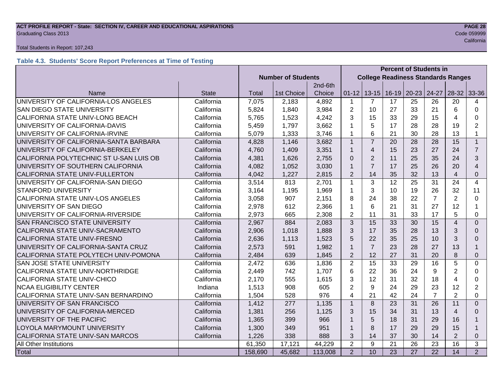# **ACT PROFILE REPORT - State: SECTION IV, CAREER AND EDUCATIONAL ASPIRATIONS PAGE 28** Graduating Class 2013 Code 059999

#### Total Students in Report: 107,243

# **Table 4.3. Students' Score Report Preferences at Time of Testing**

|                                         |              |                           |            |         |                | <b>Percent of Students in</b>             |                 |                         |                 |                         |                |
|-----------------------------------------|--------------|---------------------------|------------|---------|----------------|-------------------------------------------|-----------------|-------------------------|-----------------|-------------------------|----------------|
|                                         |              | <b>Number of Students</b> |            |         |                | <b>College Readiness Standards Ranges</b> |                 |                         |                 |                         |                |
|                                         |              |                           |            | 2nd-6th |                |                                           |                 |                         |                 |                         |                |
| Name                                    | <b>State</b> | Total                     | 1st Choice | Choice  | $01 - 12$      |                                           |                 | $13-15$   16-19   20-23 | 24-27           | $28-32$                 | 33-36          |
| UNIVERSITY OF CALIFORNIA-LOS ANGELES    | California   | 7,075                     | 2,183      | 4,892   | 1              | $\overline{7}$                            | 17              | 25                      | 26              | 20                      | 4              |
| SAN DIEGO STATE UNIVERSITY              | California   | 5,824                     | 1,840      | 3,984   | $\overline{2}$ | 10                                        | 27              | 33                      | 21              | 6                       | $\Omega$       |
| CALIFORNIA STATE UNIV-LONG BEACH        | California   | 5,765                     | 1,523      | 4,242   | 3              | 15                                        | 33              | 29                      | 15              | 4                       | 0              |
| UNIVERSITY OF CALIFORNIA-DAVIS          | California   | 5,459                     | 1,797      | 3,662   | 1              | 5                                         | 17              | 28                      | 28              | 19                      | $\overline{2}$ |
| UNIVERSITY OF CALIFORNIA-IRVINE         | California   | 5,079                     | 1,333      | 3,746   | 1              | 6                                         | 21              | 30                      | 28              | 13                      | 1              |
| UNIVERSITY OF CALIFORNIA-SANTA BARBARA  | California   | 4,828                     | 1,146      | 3,682   | $\mathbf{1}$   | $\overline{7}$                            | 20              | 28                      | 28              | 15                      | $\mathbf{1}$   |
| UNIVERSITY OF CALIFORNIA-BERKELEY       | California   | 4,760                     | 1,409      | 3,351   | $\mathbf{1}$   | $\overline{4}$                            | 15              | 23                      | 27              | 24                      | $\overline{7}$ |
| CALIFORNIA POLYTECHNIC ST U-SAN LUIS OB | California   | 4,381                     | 1,626      | 2,755   | $\Omega$       | $\overline{2}$                            | 11              | 25                      | 35              | 24                      | 3              |
| UNIVERSITY OF SOUTHERN CALIFORNIA       | California   | 4,082                     | 1,052      | 3,030   | $\mathbf{1}$   | $\overline{7}$                            | 17              | 25                      | 26              | 20                      | 4              |
| CALIFORNIA STATE UNIV-FULLERTON         | California   | 4,042                     | 1,227      | 2,815   | $\overline{2}$ | 14                                        | 35              | 32                      | 13              | $\overline{4}$          | 0              |
| UNIVERSITY OF CALIFORNIA-SAN DIEGO      | California   | 3,514                     | 813        | 2,701   | $\mathbf{1}$   | 3                                         | 12              | 25                      | 31              | 24                      | 4              |
| <b>STANFORD UNIVERSITY</b>              | California   | 3,164                     | 1,195      | 1,969   | 1              | 3                                         | 10              | 19                      | 26              | 32                      | 11             |
| CALIFORNIA STATE UNIV-LOS ANGELES       | California   | 3,058                     | 907        | 2,151   | 8              | 24                                        | 38              | 22                      | $\overline{7}$  | $\overline{2}$          | $\Omega$       |
| UNIVERSITY OF SAN DIEGO                 | California   | 2,978                     | 612        | 2,366   | 1              | 6                                         | 21              | 31                      | 27              | 12                      | 1              |
| UNIVERSITY OF CALIFORNIA-RIVERSIDE      | California   | 2,973                     | 665        | 2,308   | $\overline{2}$ | 11                                        | 31              | 33                      | 17              | 5                       | 0              |
| SAN FRANCISCO STATE UNIVERSITY          | California   | 2,967                     | 884        | 2,083   | 3              | 15                                        | 33              | 30                      | 15              | $\overline{\mathbf{4}}$ | $\overline{0}$ |
| CALIFORNIA STATE UNIV-SACRAMENTO        | California   |                           | 1,018      | 1,888   | 3              | 17                                        | 35              | 28                      | 13              | 3                       | $\Omega$       |
| CALIFORNIA STATE UNIV-FRESNO            | California   | 2,636                     | 1,113      | 1,523   | 5              | 22                                        | 35              | 25                      | 10              | 3                       | 0              |
| UNIVERSITY OF CALIFORNIA-SANTA CRUZ     | California   |                           | 591        | 1,982   | $\mathbf{1}$   | $\overline{7}$                            | 23              | 28                      | 27              | 13                      | $\mathbf 1$    |
| CALIFORNIA STATE POLYTECH UNIV-POMONA   | California   | 2,484                     | 639        | 1,845   | $\overline{2}$ | 12                                        | 27              | 31                      | 20              | 8                       | $\Omega$       |
| SAN JOSE STATE UNIVERSITY               | California   | 2,472                     | 636        | 1,836   | $\overline{2}$ | 15                                        | 33              | 29                      | 16              | 5                       | $\Omega$       |
| CALIFORNIA STATE UNIV-NORTHRIDGE        | California   | 2,449                     | 742        | 1,707   | 6              | 22                                        | 36              | 24                      | 9               | $\overline{2}$          | $\Omega$       |
| CALIFORNIA STATE UNIV-CHICO             | California   | 2,170                     | 555        | 1,615   | 3              | 12                                        | 31              | 32                      | 18              | $\overline{4}$          | 0              |
| <b>NCAA ELIGIBILITY CENTER</b>          | Indiana      | 1,513                     | 908        | 605     | $\overline{2}$ | 9                                         | 24              | 29                      | 23              | 12                      | 2              |
| CALIFORNIA STATE UNIV-SAN BERNARDINO    | California   | 1,504                     | 528        | 976     | 4              | 21                                        | 42              | 24                      | $\overline{7}$  | $\overline{2}$          | 0              |
| UNIVERSITY OF SAN FRANCISCO             | California   | 1,412                     | 277        | 1,135   | $\mathbf{1}$   | 8                                         | 23              | 31                      | 26              | 11                      | $\Omega$       |
| UNIVERSITY OF CALIFORNIA-MERCED         | California   | 1,381                     | 256        | 1,125   | 3              | 15                                        | 34              | 31                      | 13              | 4                       | $\Omega$       |
| UNIVERSITY OF THE PACIFIC               | California   | 1,365                     | 399        | 966     | 1              | 5                                         | 18              | 31                      | 29              | 16                      |                |
| LOYOLA MARYMOUNT UNIVERSITY             | California   | 1,300                     | 349        | 951     | 1              | 8                                         | 17              | 29                      | 29              | 15                      | $\mathbf 1$    |
| CALIFORNIA STATE UNIV-SAN MARCOS        | California   | 1,226                     | 338        | 888     | 3              | 14                                        | 37              | 30                      | 14              | $\overline{2}$          | 0              |
| All Other Institutions                  |              | 61,350                    | 17,121     | 44,229  | $\overline{2}$ | $9\,$                                     | 21              | 26                      | 23              | 16                      | 3              |
| Total                                   |              | 158,690                   | 45,682     | 113,008 | 2              | 10                                        | $\overline{23}$ | $\overline{27}$         | $\overline{22}$ | 14                      | 2              |

California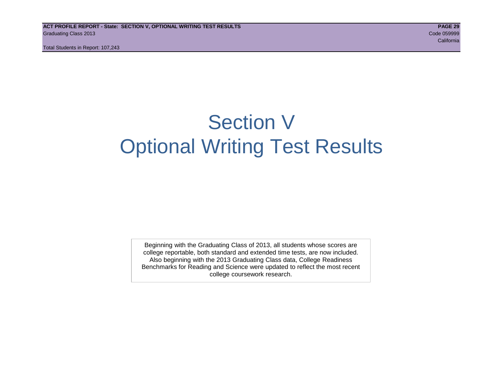Total Students in Report: 107,243

# Section V Optional Writing Test Results

Beginning with the Graduating Class of 2013, all students whose scores are college reportable, both standard and extended time tests, are now included. Also beginning with the 2013 Graduating Class data, College Readiness Benchmarks for Reading and Science were updated to reflect the most recent college coursework research.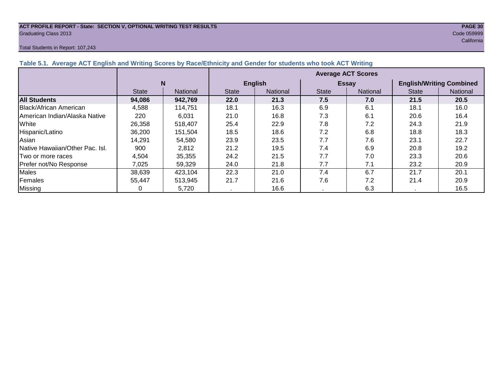# **ACT PROFILE REPORT - State: SECTION V, OPTIONAL WRITING TEST RESULTS PAGE 30** Graduating Class 2013 Code 059999

#### Total Students in Report: 107,243

| English and Writing Scores by Race/Ethnicity and Gender for students who took ACT Writing |                           |          |                |                 |              |                 |                                 |          |  |  |  |  |  |
|-------------------------------------------------------------------------------------------|---------------------------|----------|----------------|-----------------|--------------|-----------------|---------------------------------|----------|--|--|--|--|--|
|                                                                                           | <b>Average ACT Scores</b> |          |                |                 |              |                 |                                 |          |  |  |  |  |  |
|                                                                                           | N                         |          | <b>English</b> |                 |              | Essay           | <b>English/Writing Combined</b> |          |  |  |  |  |  |
|                                                                                           | <b>State</b>              | National | <b>State</b>   | <b>National</b> | <b>State</b> | <b>National</b> | <b>State</b>                    | National |  |  |  |  |  |
|                                                                                           | 94,086                    | 942,769  | 22.0           | 21.3            | 7.5          | 7.0             | 21.5                            | 20.5     |  |  |  |  |  |
|                                                                                           |                           |          |                |                 |              |                 |                                 |          |  |  |  |  |  |

**Table 5.1. Average ACT** 

|                                 | N            |                 |              | <b>English</b> |              | <b>Essay</b>    | <b>English/Writing Combined</b> |                 |  |
|---------------------------------|--------------|-----------------|--------------|----------------|--------------|-----------------|---------------------------------|-----------------|--|
|                                 | <b>State</b> | <b>National</b> | <b>State</b> | National       | <b>State</b> | <b>National</b> | <b>State</b>                    | <b>National</b> |  |
| <b>All Students</b>             | 94,086       | 942,769         | 22.0         | 21.3           | 7.5          | 7.0             | 21.5                            | 20.5            |  |
| <b>Black/African American</b>   | 4,588        | 114.751         | 18.1         | 16.3           | 6.9          | 6.1             | 18.1                            | 16.0            |  |
| American Indian/Alaska Native   | 220          | 6.031           | 21.0         | 16.8           | 7.3          | 6.1             | 20.6                            | 16.4            |  |
| White                           | 26,358       | 518,407         | 25.4         | 22.9           | 7.8          | 7.2             | 24.3                            | 21.9            |  |
| Hispanic/Latino                 | 36,200       | 151,504         | 18.5         | 18.6           | 7.2          | 6.8             | 18.8                            | 18.3            |  |
| Asian                           | 14,291       | 54.580          | 23.9         | 23.5           | 7.7          | 7.6             | 23.1                            | 22.7            |  |
| Native Hawaiian/Other Pac. Isl. | 900          | 2.812           | 21.2         | 19.5           | 7.4          | 6.9             | 20.8                            | 19.2            |  |
| Two or more races               | 4,504        | 35,355          | 24.2         | 21.5           | 7.7          | 7.0             | 23.3                            | 20.6            |  |
| Prefer not/No Response          | 7.025        | 59,329          | 24.0         | 21.8           | 7.7          | 7.1             | 23.2                            | 20.9            |  |
| Males                           | 38,639       | 423,104         | 22.3         | 21.0           | 7.4          | 6.7             | 21.7                            | 20.1            |  |
| Females                         | 55.447       | 513,945         | 21.7         | 21.6           | 7.6          | 7.2             | 21.4                            | 20.9            |  |

Missing | 0 | 5,720 | . | 16.6 | . | 6.3 | . | 16.5

# california and the california and the california and the california and the california california and the california